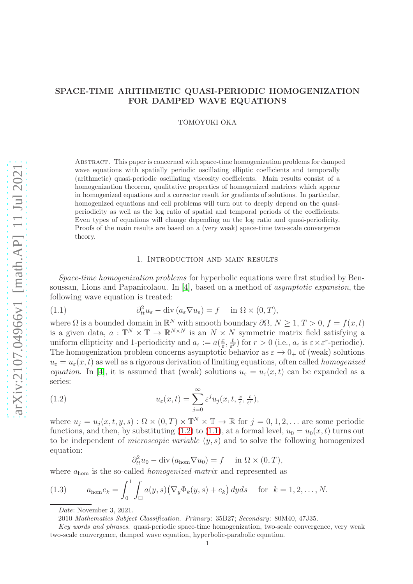# SPACE-TIME ARITHMETIC QUASI-PERIODIC HOMOGENIZATION FOR DAMPED WAVE EQUATIONS

TOMOYUKI OKA

Abstract. This paper is concerned with space-time homogenization problems for damped wave equations with spatially periodic oscillating elliptic coefficients and temporally (arithmetic) quasi-periodic oscillating viscosity coefficients. Main results consist of a homogenization theorem, qualitative properties of homogenized matrices which appear in homogenized equations and a corrector result for gradients of solutions. In particular, homogenized equations and cell problems will turn out to deeply depend on the quasiperiodicity as well as the log ratio of spatial and temporal periods of the coefficients. Even types of equations will change depending on the log ratio and quasi-periodicity. Proofs of the main results are based on a (very weak) space-time two-scale convergence theory.

### <span id="page-0-1"></span>1. Introduction and main results

Space-time homogenization problems for hyperbolic equations were first studied by Bensoussan, Lions and Papanicolaou. In [\[4\]](#page-24-0), based on a method of asymptotic expansion, the following wave equation is treated:

(1.1) 
$$
\partial_t^2 u_{\varepsilon} - \text{div} (a_{\varepsilon} \nabla u_{\varepsilon}) = f \quad \text{in } \Omega \times (0, T),
$$

where  $\Omega$  is a bounded domain in  $\mathbb{R}^N$  with smooth boundary  $\partial\Omega$ ,  $N \geq 1$ ,  $T > 0$ ,  $f = f(x, t)$ is a given data,  $a: \mathbb{T}^N \times \mathbb{T} \to \mathbb{R}^{N \times N}$  is an  $N \times N$  symmetric matrix field satisfying a uniform ellipticity and 1-periodicity and  $a_{\varepsilon} := a(\frac{x}{\varepsilon})$  $\frac{x}{\varepsilon}, \frac{t}{\varepsilon}$  $(\frac{t}{\varepsilon^r})$  for  $r > 0$  (i.e.,  $a_{\varepsilon}$  is  $\varepsilon \times \varepsilon^r$ -periodic). The homogenization problem concerns asymptotic behavior as  $\varepsilon \to 0_+$  of (weak) solutions  $u_{\varepsilon} = u_{\varepsilon}(x, t)$  as well as a rigorous derivation of limiting equations, often called *homogenized* equation. In [\[4\]](#page-24-0), it is assumed that (weak) solutions  $u_{\varepsilon} = u_{\varepsilon}(x, t)$  can be expanded as a series:

(1.2) 
$$
u_{\varepsilon}(x,t) = \sum_{j=0}^{\infty} \varepsilon^{j} u_{j}(x,t,\frac{x}{\varepsilon},\frac{t}{\varepsilon^{r}}),
$$

where  $u_j = u_j(x, t, y, s) : \Omega \times (0, T) \times \mathbb{T}^N \times \mathbb{T} \to \mathbb{R}$  for  $j = 0, 1, 2, \dots$  are some periodic functions, and then, by substituting [\(1.2\)](#page-0-0) to [\(1.1\)](#page-0-1), at a formal level,  $u_0 = u_0(x, t)$  turns out to be independent of *microscopic variable*  $(y, s)$  and to solve the following homogenized equation:

<span id="page-0-0"></span>
$$
\partial_{tt}^2 u_0 - \text{div}\left(a_{\text{hom}} \nabla u_0\right) = f \quad \text{in } \Omega \times (0, T),
$$

where  $a_{\text{hom}}$  is the so-called *homogenized matrix* and represented as

(1.3) 
$$
a_{\text{hom}}e_k = \int_0^1 \int_{\square} a(y,s) \big( \nabla_y \Phi_k(y,s) + e_k \big) dy ds \quad \text{for } k = 1, 2, \dots, N.
$$

<span id="page-0-2"></span>Date: November 3, 2021.

2010 Mathematics Subject Classification. Primary: 35B27; Secondary: 80M40, 47J35.

Key words and phrases. quasi-periodic space-time homogenization, two-scale convergence, very weak two-scale convergence, damped wave equation, hyperbolic-parabolic equation.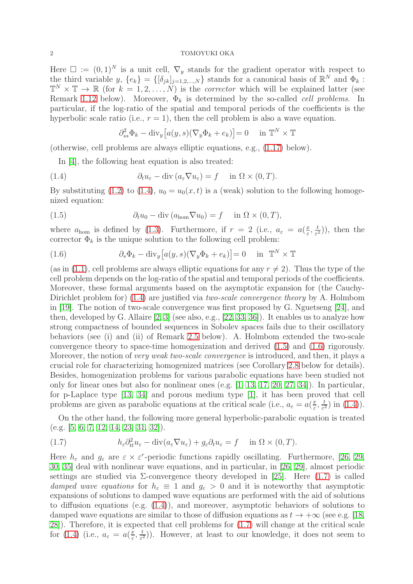Here  $\square := (0,1)^N$  is a unit cell,  $\nabla_y$  stands for the gradient operator with respect to the third variable y,  $\{e_k\} = \{[\delta_{jk}]_{j=1,2,...,N}\}\$  stands for a canonical basis of  $\mathbb{R}^N$  and  $\Phi_k$ :  $\mathbb{T}^N \times \mathbb{T} \to \mathbb{R}$  (for  $k = 1, 2, ..., N$ ) is the *corrector* which will be explained latter (see Remark [1.12](#page-6-0) below). Moreover,  $\Phi_k$  is determined by the so-called *cell problems*. In particular, if the log-ratio of the spatial and temporal periods of the coefficients is the hyperbolic scale ratio (i.e.,  $r = 1$ ), then the cell problem is also a wave equation.

<span id="page-1-0"></span>
$$
\partial_{ss}^2 \Phi_k - \text{div}_y \big[ a(y, s) (\nabla_y \Phi_k + e_k) \big] = 0 \quad \text{ in } \mathbb{T}^N \times \mathbb{T}
$$

(otherwise, cell problems are always elliptic equations, e.g., [\(1.17\)](#page-4-0) below).

In [\[4\]](#page-24-0), the following heat equation is also treated:

(1.4) 
$$
\partial_t u_{\varepsilon} - \text{div} (a_{\varepsilon} \nabla u_{\varepsilon}) = f \quad \text{in } \Omega \times (0, T).
$$

By substituting [\(1.2\)](#page-0-0) to [\(1.4\)](#page-1-0),  $u_0 = u_0(x, t)$  is a (weak) solution to the following homogenized equation:

<span id="page-1-1"></span>(1.5) 
$$
\partial_t u_0 - \text{div}(a_{\text{hom}} \nabla u_0) = f \quad \text{in } \Omega \times (0, T),
$$

where  $a_{\text{hom}}$  is defined by [\(1.3\)](#page-0-2). Furthermore, if  $r = 2$  (i.e.,  $a_{\varepsilon} = a(\frac{x}{\varepsilon})$  $\frac{x}{\varepsilon}, \frac{t}{\varepsilon}$  $(\frac{t}{\varepsilon^2})$ , then the corrector  $\Phi_k$  is the unique solution to the following cell problem:

<span id="page-1-2"></span>(1.6) 
$$
\partial_s \Phi_k - \text{div}_y \left[ a(y, s) (\nabla_y \Phi_k + e_k) \right] = 0 \quad \text{in } \mathbb{T}^N \times \mathbb{T}
$$

(as in [\(1.1\)](#page-0-1), cell problems are always elliptic equations for any  $r \neq 2$ ). Thus the type of the cell problem depends on the log-ratio of the spatial and temporal periods of the coefficients. Moreover, these formal arguments based on the asymptotic expansion for (the Cauchy-Dirichlet problem for) [\(1.4\)](#page-1-0) are justified via *two-scale convergence theory* by A. Holmbom in [\[19\]](#page-25-0). The notion of two-scale convergence was first proposed by G. Nguetseng [\[24\]](#page-25-1), and then, developed by G. Allaire  $[2, 3]$  $[2, 3]$  (see also, e.g.,  $[22, 33, 36]$  $[22, 33, 36]$  $[22, 33, 36]$ ). It enables us to analyze how strong compactness of bounded sequences in Sobolev spaces fails due to their oscillatory behaviors (see (i) and (ii) of Remark [2.5](#page-8-0) below). A. Holmbom extended the two-scale convergence theory to space-time homogenization and derived [\(1.5\)](#page-1-1) and [\(1.6\)](#page-1-2) rigorously. Moreover, the notion of *very weak two-scale convergence* is introduced, and then, it plays a crucial role for characterizing homogenized matrices (see Corollary [2.8](#page-8-1) below for details). Besides, homogenization problems for various parabolic equations have been studied not only for linear ones but also for nonlinear ones (e.g. [\[1,](#page-24-3) [13,](#page-25-5) [17,](#page-25-6) [20,](#page-25-7) [27,](#page-25-8) [34\]](#page-25-9)). In particular, for p-Laplace type [\[13,](#page-25-5) [34\]](#page-25-9) and porous medium type [\[1\]](#page-24-3), it has been proved that cell problems are given as parabolic equations at the critical scale (i.e.,  $a_{\varepsilon} = a(\frac{x}{\varepsilon})$  $\frac{x}{\varepsilon}, \frac{t}{\varepsilon^2}$  $\frac{t}{\varepsilon^2}$ ) in  $(1.4)$ ).

On the other hand, the following more general hyperbolic-parabolic equation is treated (e.g. [\[5,](#page-24-4) [6,](#page-24-5) [7,](#page-24-6) [12,](#page-25-10) [14,](#page-25-11) [23,](#page-25-12) [31,](#page-25-13) [32\]](#page-25-14)).

<span id="page-1-3"></span>(1.7) 
$$
h_{\varepsilon} \partial_{tt}^2 u_{\varepsilon} - \text{div}(a_{\varepsilon} \nabla u_{\varepsilon}) + g_{\varepsilon} \partial_t u_{\varepsilon} = f \quad \text{in } \Omega \times (0, T).
$$

Here  $h_{\varepsilon}$  and  $g_{\varepsilon}$  are  $\varepsilon \times \varepsilon^{r}$ -periodic functions rapidly oscillating. Furthermore, [\[26,](#page-25-15) [29,](#page-25-16) [30,](#page-25-17) [35\]](#page-25-18) deal with nonlinear wave equations, and in particular, in [\[26,](#page-25-15) [29\]](#page-25-16), almost periodic settings are studied via  $\Sigma$ -convergence theory developed in [\[25\]](#page-25-19). Here [\(1.7\)](#page-1-3) is called damped wave equations for  $h_{\varepsilon} \equiv 1$  and  $g_{\varepsilon} > 0$  and it is noteworthy that asymptotic expansions of solutions to damped wave equations are performed with the aid of solutions to diffusion equations (e.g.  $(1.4)$ ), and moreover, asymptotic behaviors of solutions to damped wave equations are similar to those of diffusion equations as  $t \to +\infty$  (see e.g. [\[18,](#page-25-20) [28\]](#page-25-21)). Therefore, it is expected that cell problems for [\(1.7\)](#page-1-3) will change at the critical scale for [\(1.4\)](#page-1-0) (i.e.,  $a_{\varepsilon} = a(\frac{x}{\varepsilon})$  $\frac{x}{\varepsilon}, \frac{t}{\varepsilon^2}$  $(\frac{t}{\varepsilon^2})$ . However, at least to our knowledge, it does not seem to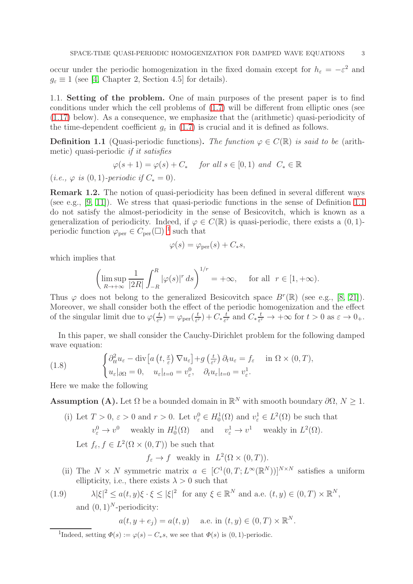occur under the periodic homogenization in the fixed domain except for  $h_{\varepsilon} = -\varepsilon^2$  and  $g_{\varepsilon} \equiv 1$  (see [\[4,](#page-24-0) Chapter 2, Section 4.5] for details).

1.1. Setting of the problem. One of main purposes of the present paper is to find conditions under which the cell problems of [\(1.7\)](#page-1-3) will be different from elliptic ones (see [\(1.17\)](#page-4-0) below). As a consequence, we emphasize that the (arithmetic) quasi-periodicity of the time-dependent coefficient  $g_{\varepsilon}$  in [\(1.7\)](#page-1-3) is crucial and it is defined as follows.

<span id="page-2-0"></span>**Definition 1.1** (Quasi-periodic functions). The function  $\varphi \in C(\mathbb{R})$  is said to be (arithmetic) quasi-periodic if it satisfies

$$
\varphi(s+1) = \varphi(s) + C_* \quad \text{ for all } s \in [0,1) \text{ and } C_* \in \mathbb{R}
$$

(*i.e.*,  $\varphi$  *is* (0, 1)-periodic if  $C_* = 0$ ).

Remark 1.2. The notion of quasi-periodicity has been defined in several different ways (see e.g., [\[9,](#page-24-7) [11\]](#page-25-22)). We stress that quasi-periodic functions in the sense of Definition [1.1](#page-2-0) do not satisfy the almost-periodicity in the sense of Besicovitch, which is known as a generalization of periodicity. Indeed, if  $\varphi \in C(\mathbb{R})$  is quasi-periodic, there exists a  $(0, 1)$ periodic function  $\varphi_{\text{per}} \in C_{\text{per}}(\square)^{-1}$  $\varphi_{\text{per}} \in C_{\text{per}}(\square)^{-1}$  $\varphi_{\text{per}} \in C_{\text{per}}(\square)^{-1}$  such that

$$
\varphi(s) = \varphi_{\rm per}(s) + C_*s,
$$

which implies that

$$
\left(\limsup_{R\to+\infty}\frac{1}{|2R|}\int_{-R}^R |\varphi(s)|^r ds\right)^{1/r} = +\infty, \quad \text{ for all } \ r\in[1,+\infty).
$$

Thus  $\varphi$  does not belong to the generalized Besicovitch space  $B^r(\mathbb{R})$  (see e.g., [\[8,](#page-24-8) [21\]](#page-25-23)). Moreover, we shall consider both the effect of the periodic homogenization and the effect of the singular limit due to  $\varphi(\frac{t}{\varepsilon})$  $(\frac{t}{\varepsilon^r}) = \varphi_{\rm per}(\frac{t}{\varepsilon^r})$  $(\frac{t}{\varepsilon^r})+C_*\frac{t}{\varepsilon^r}$  $\frac{t}{\varepsilon^r}$  and  $C_* \frac{t}{\varepsilon^r}$  $\frac{t}{\varepsilon^r} \to +\infty$  for  $t > 0$  as  $\varepsilon \to 0_+$ .

In this paper, we shall consider the Cauchy-Dirichlet problem for the following damped wave equation:

<span id="page-2-2"></span>(1.8) 
$$
\begin{cases} \partial_{tt}^{2} u_{\varepsilon} - \text{div} \left[ a \left( t, \frac{x}{\varepsilon} \right) \nabla u_{\varepsilon} \right] + g \left( \frac{t}{\varepsilon^{r}} \right) \partial_{t} u_{\varepsilon} = f_{\varepsilon} & \text{in } \Omega \times (0, T), \\ u_{\varepsilon} |_{\partial \Omega} = 0, \quad u_{\varepsilon} |_{t=0} = v_{\varepsilon}^{0}, \quad \partial_{t} u_{\varepsilon} |_{t=0} = v_{\varepsilon}^{1}. \end{cases}
$$

Here we make the following

**Assumption (A).** Let  $\Omega$  be a bounded domain in  $\mathbb{R}^N$  with smooth boundary  $\partial\Omega$ ,  $N \geq 1$ .

- (i) Let  $T > 0$ ,  $\varepsilon > 0$  and  $r > 0$ . Let  $v_{\varepsilon}^0 \in H_0^1(\Omega)$  and  $v_{\varepsilon}^1 \in L^2(\Omega)$  be such that  $v_{\varepsilon}^{0} \to v^{0}$  weakly in  $H_{0}^{1}(\Omega)$  and  $v_{\varepsilon}^{1} \to v^{1}$  weakly in  $L^{2}(\Omega)$ . Let  $f_{\varepsilon}, f \in L^2(\Omega \times (0,T))$  be such that  $f_{\varepsilon} \to f$  weakly in  $L^2(\Omega \times (0,T)).$
- <span id="page-2-3"></span>(ii) The  $N \times N$  symmetric matrix  $a \in [C^1(0,T;L^{\infty}(\mathbb{R}^N))]^{N \times N}$  satisfies a uniform ellipticity, i.e., there exists  $\lambda > 0$  such that

(1.9) 
$$
\lambda |\xi|^2 \le a(t, y)\xi \cdot \xi \le |\xi|^2 \text{ for any } \xi \in \mathbb{R}^N \text{ and a.e. } (t, y) \in (0, T) \times \mathbb{R}^N,
$$
  
and  $(0, 1)^N$ -periodicity:

$$
a(t, y + e_j) = a(t, y)
$$
 a.e. in  $(t, y) \in (0, T) \times \mathbb{R}^N$ .

<span id="page-2-1"></span><sup>&</sup>lt;sup>1</sup>Indeed, setting  $\Phi(s) := \varphi(s) - C_*s$ , we see that  $\Phi(s)$  is  $(0, 1)$ -periodic.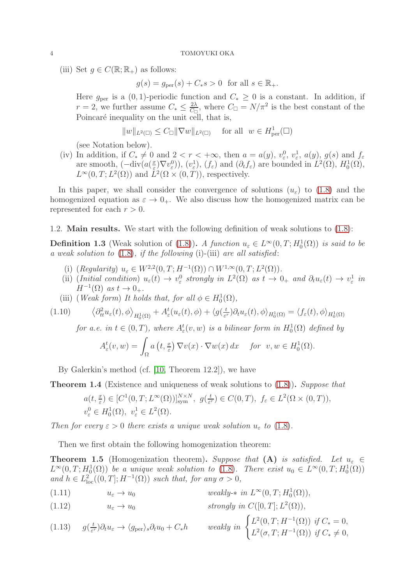(iii) Set  $g \in C(\mathbb{R}; \mathbb{R}_+)$  as follows:

 $g(s) = g_{\text{per}}(s) + C_*s > 0$  for all  $s \in \mathbb{R}_+$ .

Here  $g_{\text{per}}$  is a  $(0, 1)$ -periodic function and  $C_* \geq 0$  is a constant. In addition, if  $r = 2$ , we further assume  $C_* \leq \frac{2\lambda}{C_{\square}}$  $\frac{2\lambda}{C_{\Box}}$ , where  $C_{\Box} = N/\pi^2$  is the best constant of the Poincaré inequality on the unit cell, that is,

$$
||w||_{L^2(\square)} \leq C_{\square} ||\nabla w||_{L^2(\square)} \quad \text{ for all } \; w \in H^1_{\text{per}}(\square)
$$

(see Notation below).

(iv) In addition, if  $C_* \neq 0$  and  $2 < r < +\infty$ , then  $a = a(y)$ ,  $v_\varepsilon^0$ ,  $v_\varepsilon^1$ ,  $a(y)$ ,  $g(s)$  and  $f_\varepsilon$ are smooth,  $(-div(a(\frac{x}{\varepsilon}))$  $(\mathcal{L}^{\underline{x}}_{\varepsilon})\nabla v_{\varepsilon}^{0}),$   $(v_{\varepsilon}^{1}),$   $(f_{\varepsilon})$  and  $(\partial_{t}f_{\varepsilon})$  are bounded in  $L^{2}(\Omega)$ ,  $H_{0}^{1}(\Omega)$ ,  $L^{\infty}(0,T; L^{2}(\Omega))$  and  $\dot{L}^{2}(\Omega \times (0,T))$ , respectively.

In this paper, we shall consider the convergence of solutions  $(u_{\varepsilon})$  to [\(1.8\)](#page-2-2) and the homogenized equation as  $\varepsilon \to 0_+$ . We also discuss how the homogenized matrix can be represented for each  $r > 0$ .

1.2. Main results. We start with the following definition of weak solutions to [\(1.8\)](#page-2-2):

**Definition 1.3** (Weak solution of [\(1.8\)](#page-2-2)). A function  $u_{\varepsilon} \in L^{\infty}(0,T; H_0^1(\Omega))$  is said to be a weak solution to  $(1.8)$ , if the following  $(i)$ - $(iii)$  are all satisfied:

- (i)  $(Regularity) u_{\varepsilon} \in W^{2,2}(0,T; H^{-1}(\Omega)) \cap W^{1,\infty}(0,T; L^2(\Omega)).$
- (ii) (Initial condition)  $u_{\varepsilon}(t) \to v_{\varepsilon}^0$  strongly in  $L^2(\Omega)$  as  $t \to 0_+$  and  $\partial_t u_{\varepsilon}(t) \to v_{\varepsilon}^1$  in  $H^{-1}(\Omega)$  as  $t \to 0_+$ .
- (iii) (Weak form) It holds that, for all  $\phi \in H_0^1(\Omega)$ ,

Ω

$$
(1.10) \qquad \left\langle \partial_t^2 u_\varepsilon(t), \phi \right\rangle_{H_0^1(\Omega)} + A_\varepsilon^t(u_\varepsilon(t), \phi) + \left\langle g(\tfrac{t}{\varepsilon^r}) \partial_t u_\varepsilon(t), \phi \right\rangle_{H_0^1(\Omega)} = \left\langle f_\varepsilon(t), \phi \right\rangle_{H_0^1(\Omega)}
$$

<span id="page-3-1"></span>for a.e. in  $t \in (0,T)$ , where  $A^t_{\varepsilon}(v,w)$  is a bilinear form in  $H_0^1(\Omega)$  defined by  $A^t_\varepsilon(v,w) = \int$  $a(t, \frac{x}{\varepsilon}) \nabla v(x) \cdot \nabla w(x) dx$  for  $v, w \in H_0^1(\Omega)$ .

By Galerkin's method (cf. 
$$
[10, Theorem 12.2]
$$
), we have

<span id="page-3-2"></span>Theorem 1.4 (Existence and uniqueness of weak solutions to [\(1.8\)](#page-2-2)). Suppose that

$$
a(t, \frac{x}{\varepsilon}) \in [C^1(0, T; L^{\infty}(\Omega))]_{sym}^{N \times N}, g(\frac{t}{\varepsilon^r}) \in C(0, T), f_{\varepsilon} \in L^2(\Omega \times (0, T)),
$$
  

$$
v_{\varepsilon}^0 \in H_0^1(\Omega), v_{\varepsilon}^1 \in L^2(\Omega).
$$

Then for every  $\varepsilon > 0$  there exists a unique weak solution  $u_{\varepsilon}$  to [\(1.8\)](#page-2-2).

Then we first obtain the following homogenization theorem:

<span id="page-3-0"></span>**Theorem 1.5** (Homogenization theorem). Suppose that (A) is satisfied. Let  $u_{\varepsilon} \in$  $L^{\infty}(0,T;H_0^1(\Omega))$  be a unique weak solution to [\(1.8\)](#page-2-2). There exist  $u_0 \in L^{\infty}(0,T;H_0^1(\Omega))$ and  $h \in L^2_{loc}((0,T]; H^{-1}(\Omega))$  such that, for any  $\sigma > 0$ ,

- <span id="page-3-3"></span>(1.11)  $u_{\varepsilon} \to u_0$  weakly- $*$  in  $L^{\infty}(0, T; H_0^1(\Omega)),$
- (1.12)  $u_{\varepsilon} \to u_0$  strongly in  $C([0, T]; L^2(\Omega)),$

$$
(1.13) \quad g(\frac{t}{\varepsilon^r})\partial_t u_{\varepsilon} \to \langle g_{\text{per}} \rangle_s \partial_t u_0 + C_* h \qquad weakly \in \begin{cases} L^2(0,T;H^{-1}(\Omega)) & \text{if } C_* = 0, \\ L^2(\sigma,T;H^{-1}(\Omega)) & \text{if } C_* \neq 0, \end{cases}
$$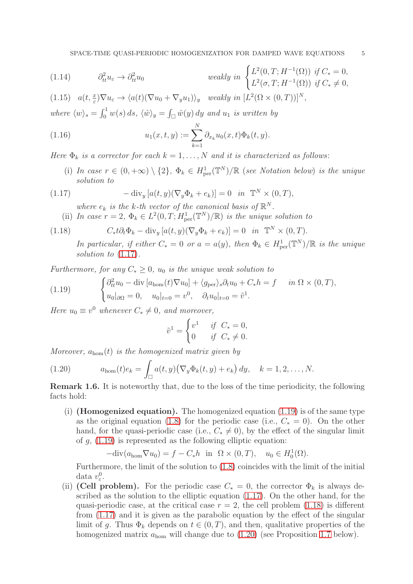(1.14) 
$$
\partial_{tt}^{2}u_{\varepsilon} \to \partial_{tt}^{2}u_{0} \qquad \text{weakly in } \begin{cases} L^{2}(0,T;H^{-1}(\Omega)) & \text{if } C_{*}=0, \\ L^{2}(\sigma,T;H^{-1}(\Omega)) & \text{if } C_{*} \neq 0, \end{cases}
$$

<span id="page-4-5"></span>(1.15)  $a(t, \frac{x}{\varepsilon}) \nabla u_{\varepsilon} \to \langle a(t) (\nabla u_0 + \nabla_y u_1) \rangle_y$  weakly in  $[L^2(\Omega \times (0, T))]^N$ ,

where  $\langle w \rangle_s = \int_0^1 w(s) \, ds$ ,  $\langle \hat{w} \rangle_y = \int_{\square} \hat{w}(y) \, dy$  and  $u_1$  is written by

<span id="page-4-4"></span>(1.16) 
$$
u_1(x,t,y) := \sum_{k=1}^N \partial_{x_k} u_0(x,t) \Phi_k(t,y).
$$

Here  $\Phi_k$  is a corrector for each  $k = 1, ..., N$  and it is characterized as follows:

(i) In case  $r \in (0, +\infty) \setminus \{2\}$ ,  $\Phi_k \in H^1_{\text{per}}(\mathbb{T}^N)/\mathbb{R}$  (see Notation below) is the unique solution to

(1.17) 
$$
-\operatorname{div}_y\left[a(t,y)(\nabla_y\Phi_k+e_k)\right]=0 \quad \text{in} \quad \mathbb{T}^N\times(0,T),
$$

<span id="page-4-0"></span>where  $e_k$  is the k-th vector of the canonical basis of  $\mathbb{R}^N$ .

(ii) In case 
$$
r = 2
$$
,  $\Phi_k \in L^2(0, T; H^1_{\text{per}}(\mathbb{T}^N)/\mathbb{R})$  is the unique solution to

(1.18) 
$$
C_* t \partial_t \Phi_k - \text{div}_y \left[ a(t, y) (\nabla_y \Phi_k + e_k) \right] = 0 \quad in \quad \mathbb{T}^N \times (0, T).
$$

<span id="page-4-2"></span>In particular, if either  $C_* = 0$  or  $a = a(y)$ , then  $\Phi_k \in H^1_{per}(\mathbb{T}^N)/\mathbb{R}$  is the unique solution to  $(1.17)$ .

Furthermore, for any  $C_* > 0$ ,  $u_0$  is the unique weak solution to

<span id="page-4-1"></span>(1.19) 
$$
\begin{cases} \partial_{tt}^2 u_0 - \text{div} [a_{\text{hom}}(t) \nabla u_0] + \langle g_{\text{per}} \rangle_s \partial_t u_0 + C_* h = f & \text{in } \Omega \times (0, T), \\ u_0 |_{\partial \Omega} = 0, \quad u_0 |_{t=0} = v^0, \quad \partial_t u_0 |_{t=0} = \tilde{v}^1. \end{cases}
$$

Here  $u_0 \equiv v^0$  whenever  $C_* \neq 0$ , and moreover,

$$
\tilde{v}^1 = \begin{cases} v^1 & \text{if } C_* = 0, \\ 0 & \text{if } C_* \neq 0. \end{cases}
$$

Moreover,  $a_{\text{hom}}(t)$  is the homogenized matrix given by

<span id="page-4-3"></span>(1.20) 
$$
a_{\text{hom}}(t)e_k = \int_{\square} a(t,y) \big( \nabla_y \Phi_k(t,y) + e_k \big) dy, \quad k = 1,2,\ldots,N.
$$

Remark 1.6. It is noteworthy that, due to the loss of the time periodicity, the following facts hold:

(i) (**Homogenized equation**). The homogenized equation  $(1.19)$  is of the same type as the original equation [\(1.8\)](#page-2-2) for the periodic case (i.e.,  $C_* = 0$ ). On the other hand, for the quasi-periodic case (i.e.,  $C_* \neq 0$ ), by the effect of the singular limit of  $g$ ,  $(1.19)$  is represented as the following elliptic equation:

$$
-\text{div}(a_{\text{hom}}\nabla u_0) = f - C_*h \text{ in } \Omega \times (0,T), \quad u_0 \in H_0^1(\Omega).
$$

Furthermore, the limit of the solution to [\(1.8\)](#page-2-2) coincides with the limit of the initial data  $v_{\varepsilon}^0$ .

(ii) (Cell problem). For the periodic case  $C_* = 0$ , the corrector  $\Phi_k$  is always described as the solution to the elliptic equation [\(1.17\)](#page-4-0). On the other hand, for the quasi-periodic case, at the critical case  $r = 2$ , the cell problem [\(1.18\)](#page-4-2) is different from [\(1.17\)](#page-4-0) and it is given as the parabolic equation by the effect of the singular limit of g. Thus  $\Phi_k$  depends on  $t \in (0, T)$ , and then, qualitative properties of the homogenized matrix  $a_{\text{hom}}$  will change due to  $(1.20)$  (see Proposition [1.7](#page-5-0) below).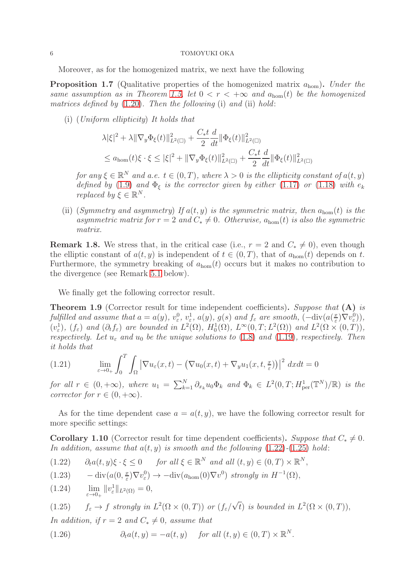Moreover, as for the homogenized matrix, we next have the following

<span id="page-5-0"></span>**Proposition 1.7** (Qualitative properties of the homogenized matrix  $a_{\text{hom}}$ ). Under the same assumption as in Theorem [1.5,](#page-3-0) let  $0 < r < +\infty$  and  $a_{\text{hom}}(t)$  be the homogenized matrices defined by  $(1.20)$ . Then the following  $(i)$  and  $(ii)$  hold:

(i) (Uniform ellipticity) It holds that

$$
\lambda |\xi|^2 + \lambda \|\nabla_y \Phi_{\xi}(t)\|_{L^2(\square)}^2 + \frac{C_* t}{2} \frac{d}{dt} \|\Phi_{\xi}(t)\|_{L^2(\square)}^2
$$
  

$$
\leq a_{\text{hom}}(t)\xi \cdot \xi \leq |\xi|^2 + \|\nabla_y \Phi_{\xi}(t)\|_{L^2(\square)}^2 + \frac{C_* t}{2} \frac{d}{dt} \|\Phi_{\xi}(t)\|_{L^2(\square)}^2
$$

for any  $\xi \in \mathbb{R}^N$  and a.e.  $t \in (0, T)$ , where  $\lambda > 0$  is the ellipticity constant of  $a(t, y)$ defined by [\(1.9\)](#page-2-3) and  $\Phi_{\xi}$  is the corrector given by either [\(1.17\)](#page-4-0) or [\(1.18\)](#page-4-2) with  $e_{k}$ replaced by  $\xi \in \mathbb{R}^N$ .

(ii) (Symmetry and asymmetry) If  $a(t, y)$  is the symmetric matrix, then  $a_{\text{hom}}(t)$  is the asymmetric matrix for  $r = 2$  and  $C_* \neq 0$ . Otherwise,  $a_{\text{hom}}(t)$  is also the symmetric matrix.

**Remark 1.8.** We stress that, in the critical case (i.e.,  $r = 2$  and  $C_* \neq 0$ ), even though the elliptic constant of  $a(t, y)$  is independent of  $t \in (0, T)$ , that of  $a_{\text{hom}}(t)$  depends on t. Furthermore, the symmetry breaking of  $a_{\text{hom}}(t)$  occurs but it makes no contribution to the divergence (see Remark [5.1](#page-20-0) below).

We finally get the following corrector result.

<span id="page-5-5"></span>Theorem 1.9 (Corrector result for time independent coefficients). Suppose that (A) is fulfilled and assume that  $a = a(y)$ ,  $v_{\varepsilon}^0$ ,  $v_{\varepsilon}^1$ ,  $a(y)$ ,  $g(s)$  and  $f_{\varepsilon}$  are smooth,  $(-\text{div}(a(\frac{x}{\varepsilon}))$  $(\frac{x}{\varepsilon})\nabla v_{\varepsilon}^0)),$  $(v_{\varepsilon}^1), (f_{\varepsilon})$  and  $(\partial_t f_{\varepsilon})$  are bounded in  $L^2(\Omega), H_0^1(\Omega), L^{\infty}(0,T; L^2(\Omega))$  and  $L^2(\Omega \times (0,T)),$ respectively. Let  $u_{\varepsilon}$  and  $u_0$  be the unique solutions to [\(1.8\)](#page-2-2) and [\(1.19\)](#page-4-1), respectively. Then it holds that

<span id="page-5-3"></span>(1.21) 
$$
\lim_{\varepsilon \to 0+} \int_0^T \int_{\Omega} \left| \nabla u_{\varepsilon}(x,t) - \left( \nabla u_0(x,t) + \nabla_y u_1(x,t,\tfrac{x}{\varepsilon}) \right) \right|^2 dx dt = 0
$$

for all  $r \in (0, +\infty)$ , where  $u_1 = \sum_{k=1}^N \partial_{x_k} u_0 \Phi_k$  and  $\Phi_k \in L^2(0, T; H^1_{per}(\mathbb{T}^N)/\mathbb{R})$  is the corrector for  $r \in (0, +\infty)$ .

As for the time dependent case  $a = a(t, y)$ , we have the following corrector result for more specific settings:

<span id="page-5-6"></span>**Corollary 1.10** (Corrector result for time dependent coefficients). Suppose that  $C_* \neq 0$ . In addition, assume that  $a(t, y)$  is smooth and the following  $(1.22)$ - $(1.25)$  hold:

- <span id="page-5-1"></span>(1.22)  $\partial_t a(t, y) \xi \cdot \xi \leq 0$  for all  $\xi \in \mathbb{R}^N$  and all  $(t, y) \in (0, T) \times \mathbb{R}^N$ ,
- <span id="page-5-4"></span> $-\operatorname{div}(a(0,\frac{x}{\varepsilon}))$ (1.23)  $-\operatorname{div}(a(0, \frac{x}{\varepsilon}) \nabla v_{\varepsilon}^0) \to -\operatorname{div}(a_{\text{hom}}(0) \nabla v^0) \text{ strongly in } H^{-1}(\Omega),$

<span id="page-5-7"></span>(1.24) 
$$
\lim_{\varepsilon \to 0_+} ||v_{\varepsilon}^1||_{L^2(\Omega)} = 0,
$$

<span id="page-5-2"></span>(1.25) 
$$
f_{\varepsilon} \to f
$$
 strongly in  $L^2(\Omega \times (0,T))$  or  $(f_{\varepsilon}/\sqrt{t})$  is bounded in  $L^2(\Omega \times (0,T))$ ,

In addition, if  $r = 2$  and  $C_* \neq 0$ , assume that

<span id="page-5-8"></span>(1.26) 
$$
\partial_t a(t, y) = -a(t, y) \quad \text{for all } (t, y) \in (0, T) \times \mathbb{R}^N.
$$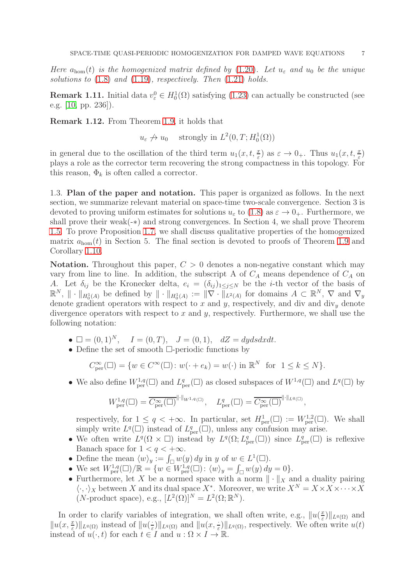Here  $a_{\text{hom}}(t)$  is the homogenized matrix defined by [\(1.20\)](#page-4-3). Let  $u_{\varepsilon}$  and  $u_0$  be the unique solutions to  $(1.8)$  and  $(1.19)$ , respectively. Then  $(1.21)$  holds.

**Remark 1.11.** Initial data  $v_{\varepsilon}^0 \in H_0^1(\Omega)$  satisfying [\(1.23\)](#page-5-4) can actually be constructed (see e.g. [\[10,](#page-24-9) pp. 236]).

<span id="page-6-0"></span>Remark 1.12. From Theorem [1.9,](#page-5-5) it holds that

 $u_{\varepsilon} \nrightarrow u_0$  strongly in  $L^2(0,T; H_0^1(\Omega))$ 

in general due to the oscillation of the third term  $u_1(x, t, \frac{x}{\varepsilon})$  as  $\varepsilon \to 0_+$ . Thus  $u_1(x, t, \frac{x}{\varepsilon})$ plays a role as the corrector term recovering the strong compactness in this topology. For this reason,  $\Phi_k$  is often called a corrector.

1.3. Plan of the paper and notation. This paper is organized as follows. In the next section, we summarize relevant material on space-time two-scale convergence. Section 3 is devoted to proving uniform estimates for solutions  $u_{\varepsilon}$  to [\(1.8\)](#page-2-2) as  $\varepsilon \to 0_{+}$ . Furthermore, we shall prove their weak(-∗) and strong convergences. In Section 4, we shall prove Theorem [1.5.](#page-3-0) To prove Proposition [1.7,](#page-5-0) we shall discuss qualitative properties of the homogenized matrix  $a_{\text{hom}}(t)$  in Section 5. The final section is devoted to proofs of Theorem [1.9](#page-5-5) and Corollary [1.10.](#page-5-6)

**Notation.** Throughout this paper,  $C > 0$  denotes a non-negative constant which may vary from line to line. In addition, the subscript A of  $C_A$  means dependence of  $C_A$  on A. Let  $\delta_{ij}$  be the Kronecker delta,  $e_i = (\delta_{ij})_{1 \leq j \leq N}$  be the *i*-th vector of the basis of  $\mathbb{R}^N$ ,  $\|\cdot\|_{H_0^1(A)}$  be defined by  $\|\cdot\|_{H_0^1(A)} := \|\nabla \cdot \|\cdot\|_{L^2(A)}$  for domains  $A \subset \mathbb{R}^N$ ,  $\nabla$  and  $\nabla_y$ denote gradient operators with respect to x and y, respectively, and div and div<sub>y</sub> denote divergence operators with respect to  $x$  and  $y$ , respectively. Furthermore, we shall use the following notation:

- $\square = (0, 1)^N$ ,  $I = (0, T)$ ,  $J = (0, 1)$ ,  $dZ = dydsdxdt$ .
- Define the set of smooth  $\Box$ -periodic functions by

$$
C_{\text{per}}^{\infty}(\square) = \{ w \in C^{\infty}(\square) \colon w(\cdot + e_k) = w(\cdot) \text{ in } \mathbb{R}^N \text{ for } 1 \le k \le N \}.
$$

• We also define  $W^{1,q}_{\text{per}}(\square)$  and  $L^q_{\text{per}}(\square)$  as closed subspaces of  $W^{1,q}(\square)$  and  $L^q(\square)$  by

$$
W^{1,q}_{\mathrm{per}}(\square) = \overline{C^\infty_{\mathrm{per}}(\square)}^{\|\cdot\|_{W^{1,q}(\square)}}, \quad L^q_{\mathrm{per}}(\square) = \overline{C^\infty_{\mathrm{per}}(\square)}^{\|\cdot\|_{L^q(\square)}}
$$

respectively, for  $1 \leq q < +\infty$ . In particular, set  $H^1_{\text{per}}(\square) := W^{1,2}_{\text{per}}(\square)$ . We shall simply write  $L^q(\Box)$  instead of  $L^q_{\text{per}}(\Box)$ , unless any confusion may arise.

,

- We often write  $L^q(\Omega \times \square)$  instead by  $L^q(\Omega; L^q_{\text{per}}(\square))$  since  $L^q_{\text{per}}(\square)$  is reflexive Banach space for  $1 < q < +\infty$ .
- Define the mean  $\langle w \rangle_y := \int_{\square} w(y) dy$  in y of  $w \in L^1(\square)$ .
- We set  $W^{1,q}_{\text{per}}(\square)/\mathbb{R} = \{w \in W^{1,q}_{\text{per}}(\square) : \langle w \rangle_y = \int_{\square} w(y) dy = 0\}.$
- Furthermore, let X be a normed space with a norm  $\|\cdot\|_X$  and a duality pairing  $\langle \cdot, \cdot \rangle_X$  between X and its dual space  $X^*$ . Moreover, we write  $X^N = X \times X \times \cdots \times X$  $(N\text{-product space}), \text{ e.g., } [L^2(\Omega)]^N = L^2(\Omega; \mathbb{R}^N).$

In order to clarify variables of integration, we shall often write, e.g.,  $\|u\|_{\varepsilon}^{\frac{\alpha}{\varepsilon}}$  $\frac{x}{\varepsilon}$ )|| $_{L^q(\Omega)}$  and  $||u(x, \frac{x}{\varepsilon})||_{L^q(\Omega)}$  instead of  $||u(\frac{x}{\varepsilon})||$  $\frac{1}{\varepsilon}$ ||<sub>Lq(Ω)</sub> and  $||u(x, \frac{1}{\varepsilon})||_{L_q(\Omega)}$ , respectively. We often write  $u(t)$ instead of  $u(\cdot, t)$  for each  $t \in I$  and  $u : \Omega \times I \to \mathbb{R}$ .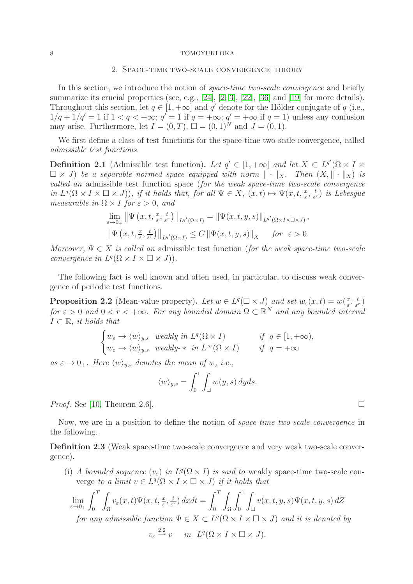### 2. Space-time two-scale convergence theory

In this section, we introduce the notion of *space-time two-scale convergence* and briefly summarize its crucial properties (see, e.g., [\[24\]](#page-25-1), [\[2,](#page-24-1) [3\]](#page-24-2), [\[22\]](#page-25-2), [\[36\]](#page-25-4) and [\[19\]](#page-25-0) for more details). Throughout this section, let  $q \in [1, +\infty]$  and q' denote for the Hölder conjugate of q (i.e.,  $1/q + 1/q' = 1$  if  $1 < q < +\infty$ ;  $q' = 1$  if  $q = +\infty$ ;  $q' = +\infty$  if  $q = 1$ ) unless any confusion may arise. Furthermore, let  $I = (0, T)$ ,  $\square = (0, 1)^N$  and  $J = (0, 1)$ .

We first define a class of test functions for the space-time two-scale convergence, called admissible test functions.

**Definition 2.1** (Admissible test function). Let  $q' \in [1, +\infty]$  and let  $X \subset L^{q'}(\Omega \times I \times I)$  $\Box \times J$ ) be a separable normed space equipped with norm  $\Vert \cdot \Vert_X$ . Then  $(X, \Vert \cdot \Vert_X)$  is called an admissible test function space (for the weak space-time two-scale convergence in  $L^q(\Omega \times I \times \square \times J))$ , if it holds that, for all  $\Psi \in X$ ,  $(x, t) \mapsto \Psi(x, t, \frac{x}{\varepsilon}, \frac{t}{\varepsilon})$  $\frac{t}{\varepsilon^r}$ ) is Lebesgue measurable in  $\Omega \times I$  for  $\varepsilon > 0$ , and

$$
\lim_{\varepsilon \to 0+} \left\| \Psi \left( x, t, \frac{x}{\varepsilon}, \frac{t}{\varepsilon^r} \right) \right\|_{L^{q'}(\Omega \times I)} = \left\| \Psi(x, t, y, s) \right\|_{L^{q'}(\Omega \times I \times \Omega \times J)},
$$
  

$$
\left\| \Psi \left( x, t, \frac{x}{\varepsilon}, \frac{t}{\varepsilon^r} \right) \right\|_{L^{q'}(\Omega \times I)} \leq C \left\| \Psi(x, t, y, s) \right\|_X \quad \text{for } \varepsilon > 0.
$$

Moreover,  $\Psi \in X$  is called an admissible test function (for the weak space-time two-scale convergence in  $L^q(\Omega \times I \times \square \times J)).$ 

The following fact is well known and often used, in particular, to discuss weak convergence of periodic test functions.

<span id="page-7-0"></span>**Proposition 2.2** (Mean-value property). Let  $w \in L^q(\square \times J)$  and set  $w_{\varepsilon}(x,t) = w(\frac{x}{\varepsilon})$  $\frac{x}{\varepsilon}, \frac{t}{\varepsilon^{\eta}}$  $\frac{t}{\varepsilon^r}$ for  $\varepsilon > 0$  and  $0 < r < +\infty$ . For any bounded domain  $\Omega \subset \mathbb{R}^N$  and any bounded interval  $I \subset \mathbb{R}$ , it holds that

$$
\begin{cases} w_{\varepsilon} \to \langle w \rangle_{y,s} & weakly in L^{q}(\Omega \times I) & \text{if } q \in [1, +\infty), \\ w_{\varepsilon} \to \langle w \rangle_{y,s} & weakly-* in L^{\infty}(\Omega \times I) & \text{if } q = +\infty \end{cases}
$$

as  $\varepsilon \to 0_+$ . Here  $\langle w \rangle_{y,s}$  denotes the mean of w, i.e.,

$$
\langle w \rangle_{y,s} = \int_0^1 \int_{\square} w(y,s) \, dyds.
$$

*Proof.* See [\[10,](#page-24-9) Theorem 2.6].

Now, we are in a position to define the notion of space-time two-scale convergence in the following.

Definition 2.3 (Weak space-time two-scale convergence and very weak two-scale convergence).

(i) A bounded sequence  $(v_{\varepsilon})$  in  $L^q(\Omega \times I)$  is said to weakly space-time two-scale converge to a limit  $v \in L^q(\Omega \times I \times \square \times J)$  if it holds that

$$
\lim_{\varepsilon \to 0+} \int_0^T \int_{\Omega} v_{\varepsilon}(x,t) \Psi(x,t,\frac{x}{\varepsilon},\frac{t}{\varepsilon^r}) dxdt = \int_0^T \int_{\Omega} \int_0^1 \int_{\square} v(x,t,y,s) \Psi(x,t,y,s) dZ
$$
  
for any admissible function  $\Psi \in X \subset L^q(\Omega \times I \times \square \times J)$  and it is denoted by  

$$
v_{\varepsilon} \stackrel{2,2}{\longrightarrow} v \quad in \ L^q(\Omega \times I \times \square \times J).
$$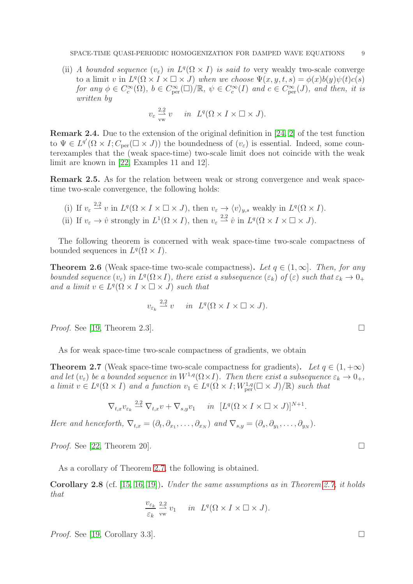(ii) A bounded sequence  $(v_{\varepsilon})$  in  $L^q(\Omega \times I)$  is said to very weakly two-scale converge to a limit v in  $L^q(\Omega \times I \times \square \times J)$  when we choose  $\Psi(x, y, t, s) = \phi(x)b(y)\psi(t)c(s)$ for any  $\phi \in C_c^{\infty}(\Omega)$ ,  $b \in C_{\text{per}}^{\infty}(\square) / \mathbb{R}$ ,  $\psi \in C_c^{\infty}(I)$  and  $c \in C_{\text{per}}^{\infty}(J)$ , and then, it is written by

$$
v_{\varepsilon} \frac{2.2}{\text{vw}} v
$$
 in  $L^q(\Omega \times I \times \square \times J)$ .

Remark 2.4. Due to the extension of the original definition in [\[24,](#page-25-1) [2\]](#page-24-1) of the test function to  $\Psi \in L^{q'}(\Omega \times I; C_{\text{per}}(\square \times J))$  the boundedness of  $(v_{\varepsilon})$  is essential. Indeed, some counterexamples that the (weak space-time) two-scale limit does not coincide with the weak limit are known in [\[22,](#page-25-2) Examples 11 and 12].

<span id="page-8-0"></span>Remark 2.5. As for the relation between weak or strong convergence and weak spacetime two-scale convergence, the following holds:

- (i) If  $v_{\varepsilon} \stackrel{2,2}{\longrightarrow} v$  in  $L^q(\Omega \times I \times \square \times J)$ , then  $v_{\varepsilon} \to \langle v \rangle_{y,s}$  weakly in  $L^q(\Omega \times I)$ .
- (ii) If  $v_{\varepsilon} \to \hat{v}$  strongly in  $L^1(\Omega \times I)$ , then  $v_{\varepsilon} \stackrel{2,2}{\to} \hat{v}$  in  $L^q(\Omega \times I \times \square \times J)$ .

The following theorem is concerned with weak space-time two-scale compactness of bounded sequences in  $L^q(\Omega \times I)$ .

**Theorem 2.6** (Weak space-time two-scale compactness). Let  $q \in (1,\infty]$ . Then, for any bounded sequence  $(v_{\varepsilon})$  in  $L^q(\Omega \times I)$ , there exist a subsequence  $(\varepsilon_k)$  of  $(\varepsilon)$  such that  $\varepsilon_k \to 0_+$ and a limit  $v \in L^q(\Omega \times I \times \square \times J)$  such that

$$
v_{\varepsilon_k} \stackrel{2,2}{\rightharpoonup} v \quad in \ L^q(\Omega \times I \times \square \times J).
$$

*Proof.* See [\[19,](#page-25-0) Theorem 2.3].

As for weak space-time two-scale compactness of gradients, we obtain

<span id="page-8-2"></span>**Theorem 2.7** (Weak space-time two-scale compactness for gradients). Let  $q \in (1, +\infty)$ and let  $(v_{\varepsilon})$  be a bounded sequence in  $W^{1,q}(\Omega \times I)$ . Then there exist a subsequence  $\varepsilon_k \to 0_+$ , a limit  $v \in L^q(\Omega \times I)$  and a function  $v_1 \in L^q(\Omega \times I; W^{1,q}_{per}(\square \times J)/\mathbb{R})$  such that

$$
\nabla_{t,x} v_{\varepsilon_k} \stackrel{2,2}{\rightharpoonup} \nabla_{t,x} v + \nabla_{s,y} v_1 \quad in \quad [L^q(\Omega \times I \times \square \times J)]^{N+1}.
$$

Here and henceforth,  $\nabla_{t,x} = (\partial_t, \partial_{x_1}, \dots, \partial_{x_N})$  and  $\nabla_{s,y} = (\partial_s, \partial_{y_1}, \dots, \partial_{y_N})$ .

*Proof.* See [\[22,](#page-25-2) Theorem 20].

As a corollary of Theorem [2.7,](#page-8-2) the following is obtained.

<span id="page-8-1"></span>**Corollary 2.8** (cf.  $[15, 16, 19]$  $[15, 16, 19]$  $[15, 16, 19]$ ). Under the same assumptions as in Theorem [2.7,](#page-8-2) it holds that

$$
\frac{v_{\varepsilon_k}}{\varepsilon_k} \frac{2,2}{\mathrm{vw}} v_1 \quad in \quad L^q(\Omega \times I \times \square \times J).
$$

*Proof.* See [\[19,](#page-25-0) Corollary 3.3].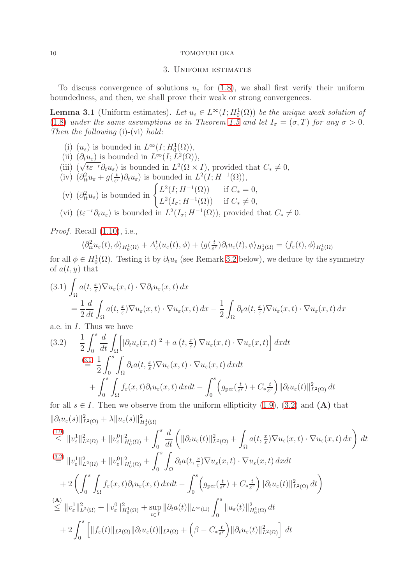### 3. Uniform estimates

To discuss convergence of solutions  $u_{\varepsilon}$  for [\(1.8\)](#page-2-2), we shall first verify their uniform boundedness, and then, we shall prove their weak or strong convergences.

<span id="page-9-2"></span>**Lemma 3.1** (Uniform estimates). Let  $u_{\varepsilon} \in L^{\infty}(I; H_0^1(\Omega))$  be the unique weak solution of [\(1.8\)](#page-2-2) under the same assumptions as in Theorem [1.5](#page-3-0) and let  $I_{\sigma} = (\sigma, T)$  for any  $\sigma > 0$ . Then the following (i)-(vi) hold:

(i)  $(u_{\varepsilon})$  is bounded in  $L^{\infty}(I; H_0^1(\Omega)),$ (ii)  $(\partial_t u_\varepsilon)$  is bounded in  $L^\infty(I; L^2(\Omega)),$ (iii)  $(\sqrt{t\epsilon^{-r}}\partial_t u_{\epsilon})$  is bounded in  $L^2(\Omega \times I)$ , provided that  $C_* \neq 0$ , (iv)  $(\partial_t^2 u_\varepsilon + g(\frac{t}{\varepsilon^r}) \partial_t u_\varepsilon)$  is bounded in  $L^2(I; H^{-1}(\Omega)),$ ε (v)  $(\partial^2_{tt}u_{\varepsilon})$  is bounded in  $\begin{cases} L^2(I;H^{-1}(\Omega)) & \text{if } C_* = 0, \\ L^2(I;H^{-1}(\Omega)) & \text{if } C_* \neq 0. \end{cases}$  $L^2(I_\sigma; H^{-1}(\Omega))$  if  $C_* \neq 0$ , (vi)  $(t\varepsilon^{-r}\partial_t u_\varepsilon)$  is bounded in  $L^2(I_\sigma; H^{-1}(\Omega))$ , provided that  $C_* \neq 0$ .

*Proof.* Recall  $(1.10)$ , i.e.,

$$
\langle \partial_{tt}^2 u_{\varepsilon}(t), \phi \rangle_{H_0^1(\Omega)} + A_{\varepsilon}^t(u_{\varepsilon}(t), \phi) + \langle g(\tfrac{t}{\varepsilon^r}) \partial_t u_{\varepsilon}(t), \phi \rangle_{H_0^1(\Omega)} = \langle f_{\varepsilon}(t), \phi \rangle_{H_0^1(\Omega)}
$$

for all  $\phi \in H_0^1(\Omega)$ . Testing it by  $\partial_t u_{\varepsilon}$  (see Remark [3.2](#page-11-0) below), we deduce by the symmetry of  $a(t, y)$  that

<span id="page-9-0"></span>
$$
(3.1) \int_{\Omega} a(t, \frac{x}{\varepsilon}) \nabla u_{\varepsilon}(x, t) \cdot \nabla \partial_t u_{\varepsilon}(x, t) dx
$$
  
=  $\frac{1}{2} \frac{d}{dt} \int_{\Omega} a(t, \frac{x}{\varepsilon}) \nabla u_{\varepsilon}(x, t) \cdot \nabla u_{\varepsilon}(x, t) dx - \frac{1}{2} \int_{\Omega} \partial_t a(t, \frac{x}{\varepsilon}) \nabla u_{\varepsilon}(x, t) \cdot \nabla u_{\varepsilon}(x, t) dx$ 

a.e. in I. Thus we have

<span id="page-9-1"></span>(3.2) 
$$
\frac{1}{2} \int_0^s \frac{d}{dt} \int_{\Omega} \left[ |\partial_t u_{\varepsilon}(x,t)|^2 + a(t, \frac{x}{\varepsilon}) \nabla u_{\varepsilon}(x,t) \cdot \nabla u_{\varepsilon}(x,t) \right] dx dt
$$
  
\n
$$
\stackrel{(3.1)}{=} \frac{1}{2} \int_0^s \int_{\Omega} \partial_t a(t, \frac{x}{\varepsilon}) \nabla u_{\varepsilon}(x,t) \cdot \nabla u_{\varepsilon}(x,t) dx dt + \int_0^s \int_{\Omega} f_{\varepsilon}(x,t) \partial_t u_{\varepsilon}(x,t) dx dt - \int_0^s \left( g_{\text{per}}(\frac{t}{\varepsilon^r}) + C_* \frac{t}{\varepsilon^r} \right) ||\partial_t u_{\varepsilon}(t)||_{L^2(\Omega)}^2 dt
$$

for all  $s \in I$ . Then we observe from the uniform ellipticity [\(1.9\)](#page-2-3), [\(3.2\)](#page-9-1) and (A) that  $\|\partial_t u_\varepsilon(s)\|^2_{L^2(\Omega)} + \lambda \|u_\varepsilon(s)\|^2_{H^1_0(\Omega)}$ 

$$
\begin{split}\n\stackrel{(1.9)}{\leq} & \|\boldsymbol{v}_{\varepsilon}^{1}\|_{L^{2}(\Omega)}^{2} + \|\boldsymbol{v}_{\varepsilon}^{0}\|_{H_{0}^{1}(\Omega)}^{2} + \int_{0}^{s} \frac{d}{dt} \left( \|\partial_{t}u_{\varepsilon}(t)\|_{L^{2}(\Omega)}^{2} + \int_{\Omega} a(t, \frac{x}{\varepsilon}) \nabla u_{\varepsilon}(x, t) \cdot \nabla u_{\varepsilon}(x, t) \, dx \right) \, dt \\
& \stackrel{(3.2)}{=} \|\boldsymbol{v}_{\varepsilon}^{1}\|_{L^{2}(\Omega)}^{2} + \|\boldsymbol{v}_{\varepsilon}^{0}\|_{H_{0}^{1}(\Omega)}^{2} + \int_{0}^{s} \int_{\Omega} \partial_{t}a(t, \frac{x}{\varepsilon}) \nabla u_{\varepsilon}(x, t) \cdot \nabla u_{\varepsilon}(x, t) \, dx dt \\
& \quad + 2 \left( \int_{0}^{s} \int_{\Omega} f_{\varepsilon}(x, t) \partial_{t}u_{\varepsilon}(x, t) \, dx dt - \int_{0}^{s} \left( g_{\text{per}}(\frac{t}{\varepsilon^{r}}) + C_{\ast} \frac{t}{\varepsilon^{r}} \right) \|\partial_{t}u_{\varepsilon}(t)\|_{L^{2}(\Omega)}^{2} \, dt \right) \\
& \stackrel{(A)}{\leq} \|\boldsymbol{v}_{\varepsilon}^{1}\|_{L^{2}(\Omega)}^{2} + \|\boldsymbol{v}_{\varepsilon}^{0}\|_{H_{0}^{1}(\Omega)}^{2} + \sup_{t \in I} \|\partial_{t}a(t)\|_{L^{\infty}(\square)} \int_{0}^{s} \|u_{\varepsilon}(t)\|_{H_{0}^{1}(\Omega)}^{2} \, dt \\
& \quad + 2 \int_{0}^{s} \left[ \|f_{\varepsilon}(t)\|_{L^{2}(\Omega)} \| \partial_{t}u_{\varepsilon}(t)\|_{L^{2}(\Omega)} + \left( \beta - C_{\ast} \frac{t}{\varepsilon^{r}} \right) \|\partial_{t}u_{\varepsilon}(t)\|_{L^{2}(\Omega)}^{2} \right] \, dt\n\end{split}
$$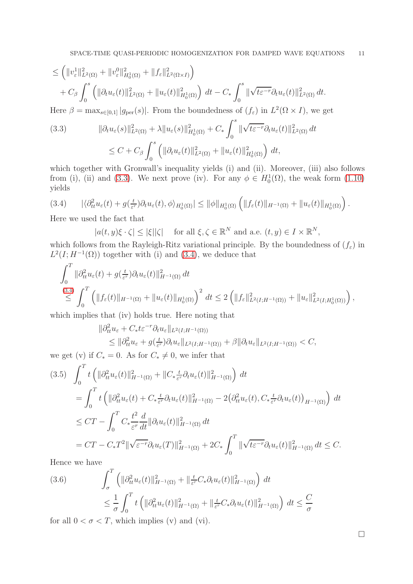$$
\leq \left( \|v_{\varepsilon}^{1}\|_{L^{2}(\Omega)}^{2} + \|v_{\varepsilon}^{0}\|_{H_{0}^{1}(\Omega)}^{2} + \|f_{\varepsilon}\|_{L^{2}(\Omega \times I)}^{2} \right) + C_{\beta} \int_{0}^{s} \left( \|\partial_{t} u_{\varepsilon}(t)\|_{L^{2}(\Omega)}^{2} + \|u_{\varepsilon}(t)\|_{H_{0}^{1}(\Omega)}^{2} \right) dt - C_{*} \int_{0}^{s} \|\sqrt{t \varepsilon^{-r}} \partial_{t} u_{\varepsilon}(t)\|_{L^{2}(\Omega)}^{2} dt.
$$

Here  $\beta = \max_{s \in [0,1]} |g_{\text{per}}(s)|$ . From the boundedness of  $(f_{\varepsilon})$  in  $L^2(\Omega \times I)$ , we get

<span id="page-10-0"></span>(3.3) 
$$
\|\partial_t u_{\varepsilon}(s)\|_{L^2(\Omega)}^2 + \lambda \|u_{\varepsilon}(s)\|_{H_0^1(\Omega)}^2 + C_* \int_0^s \|\sqrt{t \varepsilon^{-r}} \partial_t u_{\varepsilon}(t)\|_{L^2(\Omega)}^2 dt
$$
  

$$
\leq C + C_\beta \int_0^s \left( \|\partial_t u_{\varepsilon}(t)\|_{L^2(\Omega)}^2 + \|u_{\varepsilon}(t)\|_{H_0^1(\Omega)}^2 \right) dt,
$$

which together with Gronwall's inequality yields (i) and (ii). Moreover, (iii) also follows from (i), (ii) and [\(3.3\)](#page-10-0). We next prove (iv). For any  $\phi \in H_0^1(\Omega)$ , the weak form [\(1.10\)](#page-3-1) yields

<span id="page-10-1"></span>
$$
(3.4) \qquad |\langle \partial_{tt}^2 u_{\varepsilon}(t) + g(\tfrac{t}{\varepsilon'}) \partial_t u_{\varepsilon}(t), \phi \rangle_{H_0^1(\Omega)}| \leq ||\phi||_{H_0^1(\Omega)} \left( ||f_{\varepsilon}(t)||_{H^{-1}(\Omega)} + ||u_{\varepsilon}(t)||_{H_0^1(\Omega)} \right).
$$

Here we used the fact that

$$
|a(t,y)\xi \cdot \zeta| \le |\xi||\zeta| \quad \text{for all } \xi, \zeta \in \mathbb{R}^N \text{ and a.e. } (t,y) \in I \times \mathbb{R}^N,
$$

which follows from the Rayleigh-Ritz variational principle. By the boundedness of  $(f_{\varepsilon})$  in  $L^2(I; H^{-1}(\Omega))$  together with (i) and [\(3.4\)](#page-10-1), we deduce that

$$
\int_0^T \|\partial^2_{tt} u_{\varepsilon}(t) + g(\frac{t}{\varepsilon^r}) \partial_t u_{\varepsilon}(t)\|_{H^{-1}(\Omega)}^2 dt \n\leq \int_0^T \left( \|f_{\varepsilon}(t)\|_{H^{-1}(\Omega)} + \|u_{\varepsilon}(t)\|_{H_0^1(\Omega)} \right)^2 dt \leq 2 \left( \|f_{\varepsilon}\|_{L^2(I;H^{-1}(\Omega))}^2 + \|u_{\varepsilon}\|_{L^2(I;H_0^1(\Omega))}^2 \right),
$$

which implies that (iv) holds true. Here noting that

$$
\|\partial_{tt}^2 u_{\varepsilon} + C_* t {\varepsilon}^{-r} \partial_t u_{\varepsilon}\|_{L^2(I;H^{-1}(\Omega))}
$$
  
\$\leq \|\partial\_{tt}^2 u\_{\varepsilon} + g(\frac{t}{\varepsilon^r}) \partial\_t u\_{\varepsilon}\|\_{L^2(I;H^{-1}(\Omega))} + \beta \|\partial\_t u\_{\varepsilon}\|\_{L^2(I;H^{-1}(\Omega))} < C\$,

we get (v) if  $C_* = 0$ . As for  $C_* \neq 0$ , we infer that

<span id="page-10-2"></span>
$$
(3.5) \quad \int_0^T t \left( \|\partial_{tt}^2 u_{\varepsilon}(t)\|_{H^{-1}(\Omega)}^2 + \|C_* \frac{t}{\varepsilon^r} \partial_t u_{\varepsilon}(t)\|_{H^{-1}(\Omega)}^2 \right) dt
$$
  
\n
$$
= \int_0^T t \left( \|\partial_{tt}^2 u_{\varepsilon}(t) + C_* \frac{t}{\varepsilon^r} \partial_t u_{\varepsilon}(t)\|_{H^{-1}(\Omega)}^2 - 2 \big(\partial_{tt}^2 u_{\varepsilon}(t), C_* \frac{t}{\varepsilon^r} \partial_t u_{\varepsilon}(t)\big)_{H^{-1}(\Omega)} \right) dt
$$
  
\n
$$
\leq CT - \int_0^T C_* \frac{t^2}{\varepsilon^r} \frac{d}{dt} \|\partial_t u_{\varepsilon}(t)\|_{H^{-1}(\Omega)}^2 dt
$$
  
\n
$$
= CT - C_* T^2 \|\sqrt{\varepsilon^{-r}} \partial_t u_{\varepsilon}(T)\|_{H^{-1}(\Omega)}^2 + 2C_* \int_0^T \|\sqrt{t \varepsilon^{-r}} \partial_t u_{\varepsilon}(t)\|_{H^{-1}(\Omega)}^2 dt \leq C.
$$

Hence we have

<span id="page-10-3"></span>(3.6) 
$$
\int_{\sigma}^{T} \left( \|\partial_{tt}^{2} u_{\varepsilon}(t)\|_{H^{-1}(\Omega)}^{2} + \|\frac{t}{\varepsilon^{r}} C_{*} \partial_{t} u_{\varepsilon}(t)\|_{H^{-1}(\Omega)}^{2} \right) dt
$$
  

$$
\leq \frac{1}{\sigma} \int_{0}^{T} t \left( \|\partial_{tt}^{2} u_{\varepsilon}(t)\|_{H^{-1}(\Omega)}^{2} + \|\frac{t}{\varepsilon^{r}} C_{*} \partial_{t} u_{\varepsilon}(t)\|_{H^{-1}(\Omega)}^{2} \right) dt \leq \frac{C}{\sigma}
$$

for all  $0 < \sigma < T$ , which implies (v) and (vi).

 $\Box$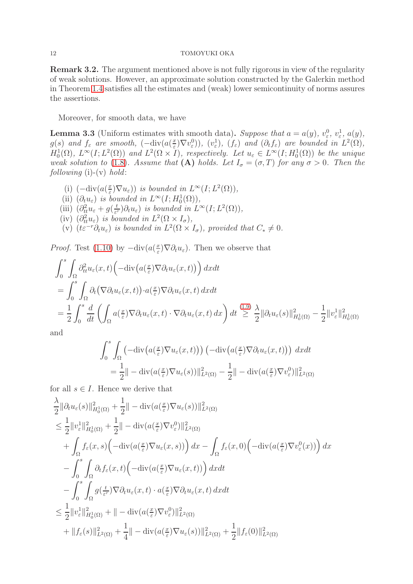<span id="page-11-0"></span>Remark 3.2. The argument mentioned above is not fully rigorous in view of the regularity of weak solutions. However, an approximate solution constructed by the Galerkin method in Theorem [1.4](#page-3-2) satisfies all the estimates and (weak) lower semicontinuity of norms assures the assertions.

Moreover, for smooth data, we have

<span id="page-11-1"></span>**Lemma 3.3** (Uniform estimates with smooth data). Suppose that  $a = a(y)$ ,  $v_{\varepsilon}^0$ ,  $v_{\varepsilon}^1$ ,  $a(y)$ ,  $g(s)$  and  $f_{\varepsilon}$  are smooth,  $(-\text{div}(a(\frac{x}{\varepsilon}))$  $(\mathcal{L}^{\underline{x}}_{\varepsilon})\nabla v_{\varepsilon}^{0}),$   $(v_{\varepsilon}^{1}),$   $(f_{\varepsilon})$  and  $(\partial_{t}f_{\varepsilon})$  are bounded in  $L^{2}(\Omega),$  $H_0^1(\Omega)$ ,  $L^{\infty}(I; L^2(\Omega))$  and  $L^2(\Omega \times I)$ , respectively. Let  $u_{\varepsilon} \in L^{\infty}(I; H_0^1(\Omega))$  be the unique weak solution to [\(1.8\)](#page-2-2). Assume that (A) holds. Let  $I_{\sigma} = (\sigma, T)$  for any  $\sigma > 0$ . Then the following  $(i)-(v)$  hold:

(i)  $\left(-\mathrm{div}\left(a\right)\frac{x}{\varepsilon}\right)$  $(\mathcal{L}^{\underline{x}}(\Sigma \setminus \nabla u_{\varepsilon}))$  is bounded in  $L^{\infty}(I; L^{2}(\Omega)),$ (ii)  $(\partial_t u_\varepsilon)$  is bounded in  $L^\infty(I; H_0^1(\Omega)),$ (iii)  $\left(\partial_t^2 u_\varepsilon + g\right)\left(\frac{t}{\varepsilon^2}\right)$  $(\frac{t}{\varepsilon^r})\partial_t u_\varepsilon$  is bounded in  $L^\infty(I; L^2(\Omega)),$ (iv)  $(\partial_t^2 u_{\varepsilon})$  is bounded in  $L^2(\Omega \times I_{\sigma}),$ (v)  $(t\epsilon^{-r}\partial_t u_{\epsilon})$  is bounded in  $L^2(\Omega \times I_{\sigma})$ , provided that  $C_* \neq 0$ .

*Proof.* Test [\(1.10\)](#page-3-1) by  $-\text{div}(a(\frac{x}{\varepsilon}))$  $(\frac{x}{\varepsilon})\nabla \partial_t u_{\varepsilon}$ . Then we observe that

$$
\int_{0}^{s} \int_{\Omega} \partial_{tt}^{2} u_{\varepsilon}(x,t) \left( -\text{div}\left(a(\frac{x}{\varepsilon}) \nabla \partial_{t} u_{\varepsilon}(x,t)\right) \right) dx dt
$$
\n
$$
= \int_{0}^{s} \int_{\Omega} \partial_{t} \left( \nabla \partial_{t} u_{\varepsilon}(x,t) \right) \cdot a(\frac{x}{\varepsilon}) \nabla \partial_{t} u_{\varepsilon}(x,t) dx dt
$$
\n
$$
= \frac{1}{2} \int_{0}^{s} \frac{d}{dt} \left( \int_{\Omega} a(\frac{x}{\varepsilon}) \nabla \partial_{t} u_{\varepsilon}(x,t) \cdot \nabla \partial_{t} u_{\varepsilon}(x,t) dx \right) dt \stackrel{(1.9)}{\geq} \frac{\lambda}{2} ||\partial_{t} u_{\varepsilon}(s)||_{H_{0}^{1}(\Omega)}^{2} - \frac{1}{2} ||v_{\varepsilon}^{1}||_{H_{0}^{1}(\Omega)}^{2}
$$

and

$$
\int_0^s \int_{\Omega} \left( -\text{div}\big(a(\frac{x}{\varepsilon}) \nabla u_{\varepsilon}(x, t)\big) \right) \left( -\text{div}\big(a(\frac{x}{\varepsilon}) \nabla \partial_t u_{\varepsilon}(x, t)\big) \right) dx dt
$$
  
=  $\frac{1}{2} || -\text{div}(a(\frac{x}{\varepsilon}) \nabla u_{\varepsilon}(s)) ||_{L^2(\Omega)}^2 - \frac{1}{2} || -\text{div}(a(\frac{x}{\varepsilon}) \nabla v_{\varepsilon}^0) ||_{L^2(\Omega)}^2$ 

for all  $s \in I$ . Hence we derive that

$$
\frac{\lambda}{2} ||\partial_t u_{\varepsilon}(s)||_{H_0^1(\Omega)}^2 + \frac{1}{2} || - \operatorname{div}(a(\frac{x}{\varepsilon}) \nabla u_{\varepsilon}(s))||_{L^2(\Omega)}^2
$$
\n
$$
\leq \frac{1}{2} ||v_{\varepsilon}^1||_{H_0^1(\Omega)}^2 + \frac{1}{2} || - \operatorname{div}(a(\frac{x}{\varepsilon}) \nabla v_{\varepsilon}^0) ||_{L^2(\Omega)}^2
$$
\n
$$
+ \int_{\Omega} f_{\varepsilon}(x, s) \Big( - \operatorname{div}(a(\frac{x}{\varepsilon}) \nabla u_{\varepsilon}(x, s)) \Big) dx - \int_{\Omega} f_{\varepsilon}(x, 0) \Big( - \operatorname{div}(a(\frac{x}{\varepsilon}) \nabla v_{\varepsilon}^0(x)) \Big) dx
$$
\n
$$
- \int_0^s \int_{\Omega} \partial_t f_{\varepsilon}(x, t) \Big( - \operatorname{div}(a(\frac{x}{\varepsilon}) \nabla u_{\varepsilon}(x, t)) \Big) dx dt
$$
\n
$$
- \int_0^s \int_{\Omega} g(\frac{t}{\varepsilon^r}) \nabla \partial_t u_{\varepsilon}(x, t) \cdot a(\frac{x}{\varepsilon}) \nabla \partial_t u_{\varepsilon}(x, t) dx dt
$$
\n
$$
\leq \frac{1}{2} ||v_{\varepsilon}^1||_{H_0^1(\Omega)}^2 + || - \operatorname{div}(a(\frac{x}{\varepsilon}) \nabla v_{\varepsilon}^0) ||_{L^2(\Omega)}^2
$$
\n
$$
+ ||f_{\varepsilon}(s)||_{L^2(\Omega)}^2 + \frac{1}{4} || - \operatorname{div}(a(\frac{x}{\varepsilon}) \nabla u_{\varepsilon}(s)) ||_{L^2(\Omega)}^2 + \frac{1}{2} ||f_{\varepsilon}(0)||_{L^2(\Omega)}^2
$$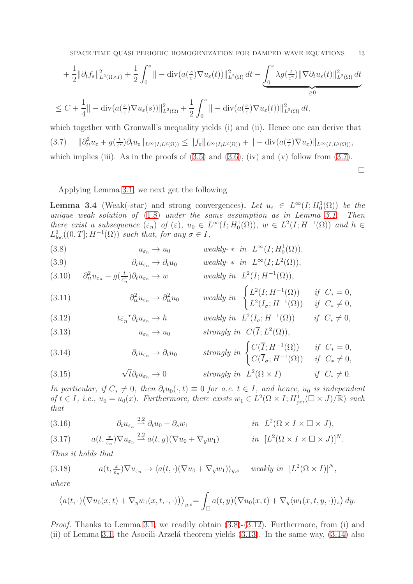$$
+\frac{1}{2} \|\partial_t f_{\varepsilon}\|^2_{L^2(\Omega\times I)} + \frac{1}{2} \int_0^s \|\varphi(u(\frac{x}{\varepsilon}) \nabla u_{\varepsilon}(t))\|^2_{L^2(\Omega)} dt - \underbrace{\int_0^s \lambda g(\frac{t}{\varepsilon^r}) \|\nabla \partial_t u_{\varepsilon}(t)\|^2_{L^2(\Omega)} dt}_{\geq 0}
$$
  

$$
\leq C + \frac{1}{4} \|\varphi(u(\frac{x}{\varepsilon}) \nabla u_{\varepsilon}(s))\|^2_{L^2(\Omega)} + \frac{1}{2} \int_0^s \|\varphi(u(\frac{x}{\varepsilon}) \nabla u_{\varepsilon}(t))\|^2_{L^2(\Omega)} dt,
$$

<span id="page-12-0"></span>which together with Gronwall's inequality yields (i) and (ii). Hence one can derive that  $(3.7)$  $\frac{d^2}{dt}u_\varepsilon+g(\frac{t}{\varepsilon^2})$  $(\frac{t}{\varepsilon})\partial_t u_\varepsilon\|_{L^\infty(I;L^2(\Omega))} \leq \|f_\varepsilon\|_{L^\infty(I;L^2(\Omega))} + \| - \operatorname{div}(a(\frac{x}{\varepsilon}))$  $\frac{x}{\varepsilon}$ ) $\nabla u_{\varepsilon}$ )|| $_{L^{\infty}(I;L^{2}(\Omega))}$ , which implies (iii). As in the proofs of  $(3.5)$  and  $(3.6)$ , (iv) and (v) follow from  $(3.7)$ .

 $\Box$ 

## Applying Lemma [3.1,](#page-9-2) we next get the following

<span id="page-12-10"></span>**Lemma 3.4** (Weak(-star) and strong convergences). Let  $u_{\varepsilon} \in L^{\infty}(I; H_0^1(\Omega))$  be the unique weak solution of [\(1.8\)](#page-2-2) under the same assumption as in Lemma [3.1.](#page-9-2) Then there exist a subsequence  $(\varepsilon_n)$  of  $(\varepsilon)$ ,  $u_0 \in L^{\infty}(I; H_0^1(\Omega))$ ,  $w \in L^2(I; H^{-1}(\Omega))$  and  $h \in$  $L^2_{\text{loc}}((0,T];H^{-1}(\Omega))$  such that, for any  $\sigma \in I$ ,

<span id="page-12-1"></span>(3.8) 
$$
u_{\varepsilon_n} \to u_0 \qquad \text{weakly-* in } L^{\infty}(I; H_0^1(\Omega)),
$$

<span id="page-12-9"></span>(3.9) 
$$
\partial_t u_{\varepsilon_n} \to \partial_t u_0 \qquad \text{weakly-* in } L^{\infty}(I; L^2(\Omega)),
$$
  
(3.10) 
$$
\partial_t^2 u_{\varepsilon_n} + g(\frac{t}{\varepsilon_n}) \partial_t u_{\varepsilon_n} \to w \qquad \text{weakly in } L^2(I; H^{-1}(\Omega)),
$$

(3.11) 
$$
\partial_{tt}^{2} u_{\varepsilon_n} \to \partial_{tt}^{2} u_0 \qquad \text{ weakly in } \begin{cases} L^2(I; H^{-1}(\Omega)) & \text{if } C_* = 0, \\ L^2(I_{\sigma}; H^{-1}(\Omega)) & \text{if } C_* \neq 0, \end{cases}
$$

<span id="page-12-3"></span><span id="page-12-2"></span>(3.12) 
$$
t\varepsilon_n^{-r}\partial_t u_{\varepsilon_n} \to h \qquad \text{weakly in } L^2(I_\sigma; H^{-1}(\Omega)) \qquad \text{if } C_* \neq 0,
$$
  
(3.13) 
$$
u_{\varepsilon_n} \to u_0 \qquad \text{strongly in } C(\overline{I}; L^2(\Omega)),
$$

<span id="page-12-4"></span>(3.14) 
$$
\partial_t u_{\varepsilon_n} \to \partial_t u_0 \quad \text{strongly in } \begin{cases} C(\overline{I}; H^{-1}(\Omega)) & \text{if } C_* = 0, \\ C(\overline{I}_{\sigma}; H^{-1}(\Omega)) & \text{if } C_* \neq 0, \end{cases}
$$
  
(3.15) 
$$
\sqrt{t} \partial_t u_{\varepsilon_n} \to 0 \quad \text{strongly in } L^2(\Omega \times I) \quad \text{if } C_* \neq 0.
$$

<span id="page-12-5"></span>In particular, if  $C_* \neq 0$ , then  $\partial_t u_0(\cdot, t) \equiv 0$  for a.e.  $t \in I$ , and hence,  $u_0$  is independent of  $t \in I$ , i.e.,  $u_0 = u_0(x)$ . Furthermore, there exists  $w_1 \in L^2(\Omega \times I; H^1_{\text{per}}(\square \times J)/\mathbb{R})$  such that

<span id="page-12-6"></span>(3.16) 
$$
\partial_t u_{\varepsilon_n} \stackrel{2,2}{\rightharpoonup} \partial_t u_0 + \partial_s w_1 \qquad \qquad in \quad L^2(\Omega \times I \times \square \times J),
$$

<span id="page-12-7"></span>(3.17) 
$$
a(t, \frac{x}{\varepsilon_n}) \nabla u_{\varepsilon_n} \stackrel{2,2}{\rightharpoonup} a(t, y) (\nabla u_0 + \nabla_y w_1) \qquad \text{in } [L^2(\Omega \times I \times \square \times J)]^N.
$$

Thus it holds that

<span id="page-12-8"></span>(3.18) 
$$
a(t, \frac{x}{\varepsilon_n}) \nabla u_{\varepsilon_n} \to \langle a(t, \cdot) (\nabla u_0 + \nabla_y w_1) \rangle_{y,s} \quad weakly in [L^2(\Omega \times I)]^N,
$$

where

$$
\langle a(t,\cdot)\big(\nabla u_0(x,t)+\nabla_y w_1(x,t,\cdot,\cdot)\big)\rangle_{y,s}=\int_{\square}a(t,y)\big(\nabla u_0(x,t)+\nabla_y\langle w_1(x,t,y,\cdot)\rangle_s\big)\,dy.
$$

*Proof.* Thanks to Lemma [3.1,](#page-9-2) we readily obtain  $(3.8)-(3.12)$  $(3.8)-(3.12)$ . Furthermore, from (i) and (ii) of Lemma [3.1,](#page-9-2) the Asocili-Arzelá theorem yields  $(3.13)$ . In the same way,  $(3.14)$  also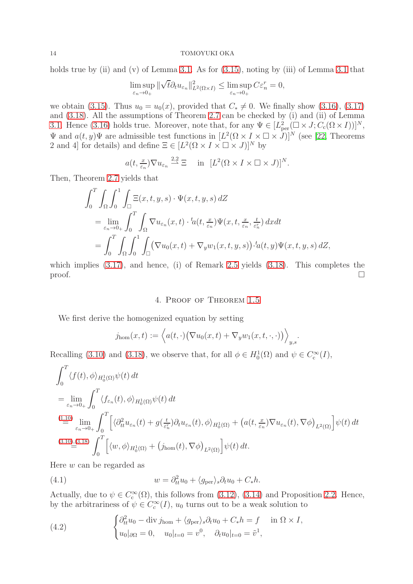holds true by (ii) and (v) of Lemma [3.1.](#page-9-2) As for  $(3.15)$ , noting by (iii) of Lemma [3.1](#page-9-2) that

$$
\limsup_{\varepsilon_n \to 0_+} \|\sqrt{t} \partial_t u_{\varepsilon_n}\|_{L^2(\Omega \times I)}^2 \le \limsup_{\varepsilon_n \to 0_+} C \varepsilon_n^r = 0,
$$

we obtain [\(3.15\)](#page-12-5). Thus  $u_0 = u_0(x)$ , provided that  $C_* \neq 0$ . We finally show [\(3.16\)](#page-12-6), [\(3.17\)](#page-12-7) and [\(3.18\)](#page-12-8). All the assumptions of Theorem [2.7](#page-8-2) can be checked by (i) and (ii) of Lemma [3.1.](#page-9-2) Hence [\(3.16\)](#page-12-6) holds true. Moreover, note that, for any  $\Psi \in [L^2_{\text{per}}(\square \times J; C_c(\Omega \times I))]^N$ ,  $\Psi$  and  $a(t, y)\Psi$  are admissible test functions in  $[L^2(\Omega \times I \times \square \times J)]^N$  (see [\[22,](#page-25-2) Theorems 2 and 4] for details) and define  $\Xi \in [L^2(\Omega \times I \times \square \times J)]^N$  by

$$
a(t, \frac{x}{\varepsilon_n}) \nabla u_{\varepsilon_n} \stackrel{2,2}{\sim} \Xi
$$
 in  $[L^2(\Omega \times I \times \square \times J)]^N$ .

Then, Theorem [2.7](#page-8-2) yields that

$$
\int_0^T \int_{\Omega} \int_0^1 \int_{\square} \Xi(x, t, y, s) \cdot \Psi(x, t, y, s) dZ
$$
  
= 
$$
\lim_{\varepsilon_n \to 0+} \int_0^T \int_{\Omega} \nabla u_{\varepsilon_n}(x, t) \cdot {}^t a(t, \frac{x}{\varepsilon_n}) \Psi(x, t, \frac{x}{\varepsilon_n}, \frac{t}{\varepsilon_n^r}) dxdt
$$
  
= 
$$
\int_0^T \int_{\Omega} \int_0^1 \int_{\square} (\nabla u_0(x, t) + \nabla_y w_1(x, t, y, s)) \cdot {}^t a(t, y) \Psi(x, t, y, s) dZ,
$$

which implies  $(3.17)$ , and hence, (i) of Remark [2.5](#page-8-0) yields  $(3.18)$ . This completes the proof.  $\Box$ 

## 4. Proof of Theorem [1.5](#page-3-0)

We first derive the homogenized equation by setting

$$
j_{\text{hom}}(x,t) := \left\langle a(t,\cdot) \big( \nabla u_0(x,t) + \nabla_y w_1(x,t,\cdot,\cdot) \big) \right\rangle_{y,s}.
$$

Recalling [\(3.10\)](#page-12-9) and [\(3.18\)](#page-12-8), we observe that, for all  $\phi \in H_0^1(\Omega)$  and  $\psi \in C_c^{\infty}(I)$ ,

$$
\int_0^T \langle f(t), \phi \rangle_{H_0^1(\Omega)} \psi(t) dt
$$
\n
$$
= \lim_{\varepsilon_n \to 0+} \int_0^T \langle f_{\varepsilon_n}(t), \phi \rangle_{H_0^1(\Omega)} \psi(t) dt
$$
\n
$$
\stackrel{(1.10)}{=} \lim_{\varepsilon_n \to 0+} \int_0^T \Big[ \langle \partial_t^2 u_{\varepsilon_n}(t) + g(\frac{t}{\varepsilon_n}) \partial_t u_{\varepsilon_n}(t), \phi \rangle_{H_0^1(\Omega)} + \big( a(t, \frac{x}{\varepsilon_n}) \nabla u_{\varepsilon_n}(t), \nabla \phi \big)_{L^2(\Omega)} \Big] \psi(t) dt
$$
\n
$$
\stackrel{(3.10),(3.18)}{=} \int_0^T \Big[ \langle w, \phi \rangle_{H_0^1(\Omega)} + \big( j_{\text{hom}}(t), \nabla \phi \big)_{L^2(\Omega)} \Big] \psi(t) dt.
$$

Here w can be regarded as

<span id="page-13-1"></span>(4.1) 
$$
w = \partial_{tt}^2 u_0 + \langle g_{\text{per}} \rangle_s \partial_t u_0 + C_* h.
$$

Actually, due to  $\psi \in C_c^{\infty}(\Omega)$ , this follows from [\(3.12\)](#page-12-2), [\(3.14\)](#page-12-4) and Proposition [2.2.](#page-7-0) Hence, by the arbitrariness of  $\psi \in C_c^{\infty}(I)$ ,  $u_0$  turns out to be a weak solution to

<span id="page-13-0"></span>(4.2) 
$$
\begin{cases} \partial_{tt}^{2} u_{0} - \text{div } j_{\text{hom}} + \langle g_{\text{per}} \rangle_{s} \partial_{t} u_{0} + C_{*} h = f & \text{in } \Omega \times I, \\ u_{0} |_{\partial \Omega} = 0, \quad u_{0} |_{t=0} = v^{0}, \quad \partial_{t} u_{0} |_{t=0} = \tilde{v}^{1}, \end{cases}
$$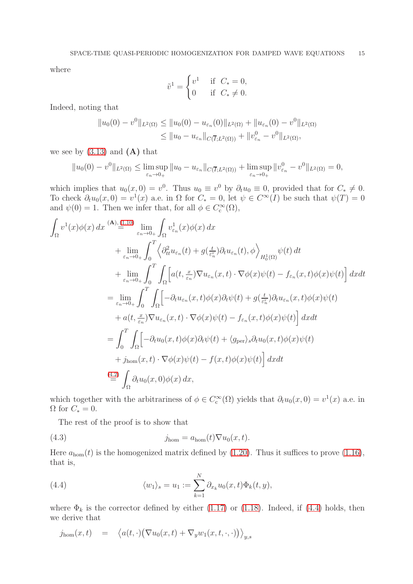where

$$
\tilde{v}^1 = \begin{cases} v^1 & \text{if } C_* = 0, \\ 0 & \text{if } C_* \neq 0. \end{cases}
$$

Indeed, noting that

$$
||u_0(0) - v^0||_{L^2(\Omega)} \le ||u_0(0) - u_{\varepsilon_n}(0)||_{L^2(\Omega)} + ||u_{\varepsilon_n}(0) - v^0||_{L^2(\Omega)}
$$
  

$$
\le ||u_0 - u_{\varepsilon_n}||_{C(\overline{I}; L^2(\Omega))} + ||v^0_{\varepsilon_n} - v^0||_{L^2(\Omega)},
$$

we see by  $(3.13)$  and  $(A)$  that

$$
||u_0(0) - v^0||_{L^2(\Omega)} \le \limsup_{\varepsilon_n \to 0+} ||u_0 - u_{\varepsilon_n}||_{C(\overline{I}; L^2(\Omega))} + \limsup_{\varepsilon_n \to 0+} ||v^0_{\varepsilon_n} - v^0||_{L^2(\Omega)} = 0,
$$

which implies that  $u_0(x, 0) = v^0$ . Thus  $u_0 \equiv v^0$  by  $\partial_t u_0 \equiv 0$ , provided that for  $C_* \neq 0$ . To check  $\partial_t u_0(x, 0) = v^1(x)$  a.e. in  $\Omega$  for  $C_* = 0$ , let  $\psi \in C^{\infty}(I)$  be such that  $\psi(T) = 0$ and  $\psi(0) = 1$ . Then we infer that, for all  $\phi \in C_c^{\infty}(\Omega)$ ,

$$
\int_{\Omega} v^{1}(x)\phi(x) dx \stackrel{(\mathbf{A}), (1,10)}{=} \lim_{\varepsilon_{n}\to 0_{+}} \int_{\Omega} v_{\varepsilon_{n}}^{1}(x)\phi(x) dx \n+ \lim_{\varepsilon_{n}\to 0_{+}} \int_{0}^{T} \left\langle \partial_{tt}^{2} u_{\varepsilon_{n}}(t) + g\left(\frac{t}{\varepsilon_{n}^{2}}\right) \partial_{t} u_{\varepsilon_{n}}(t), \phi \right\rangle_{H_{0}^{1}(\Omega)} \psi(t) dt \n+ \lim_{\varepsilon_{n}\to 0_{+}} \int_{0}^{T} \int_{\Omega} \left[ a(t, \frac{x}{\varepsilon_{n}}) \nabla u_{\varepsilon_{n}}(x, t) \cdot \nabla \phi(x) \psi(t) - f_{\varepsilon_{n}}(x, t) \phi(x) \psi(t) \right] dx dt \n= \lim_{\varepsilon_{n}\to 0_{+}} \int_{0}^{T} \int_{\Omega} \left[ -\partial_{t} u_{\varepsilon_{n}}(x, t) \phi(x) \partial_{t} \psi(t) + g\left(\frac{t}{\varepsilon_{n}^{2}}\right) \partial_{t} u_{\varepsilon_{n}}(x, t) \phi(x) \psi(t) \right. \n+ a(t, \frac{x}{\varepsilon_{n}}) \nabla u_{\varepsilon_{n}}(x, t) \cdot \nabla \phi(x) \psi(t) - f_{\varepsilon_{n}}(x, t) \phi(x) \psi(t) \right] dx dt \n= \int_{0}^{T} \int_{\Omega} \left[ -\partial_{t} u_{0}(x, t) \phi(x) \partial_{t} \psi(t) + \langle g_{\text{per}} \rangle_{s} \partial_{t} u_{0}(x, t) \phi(x) \psi(t) \right. \n+ j_{\text{hom}}(x, t) \cdot \nabla \phi(x) \psi(t) - f(x, t) \phi(x) \psi(t) \right] dx dt \n= \int_{\Omega} \partial_{t} u_{0}(x, 0) \phi(x) dx,
$$

which together with the arbitrariness of  $\phi \in C_c^{\infty}(\Omega)$  yields that  $\partial_t u_0(x,0) = v^1(x)$  a.e. in  $\Omega$  for  $C_* = 0$ .

<span id="page-14-1"></span>The rest of the proof is to show that

(4.3) 
$$
j_{\text{hom}} = a_{\text{hom}}(t) \nabla u_0(x, t).
$$

Here  $a_{\text{hom}}(t)$  is the homogenized matrix defined by [\(1.20\)](#page-4-3). Thus it suffices to prove [\(1.16\)](#page-4-4), that is,

<span id="page-14-0"></span>(4.4) 
$$
\langle w_1 \rangle_s = u_1 := \sum_{k=1}^N \partial_{x_k} u_0(x, t) \Phi_k(t, y),
$$

where  $\Phi_k$  is the corrector defined by either [\(1.17\)](#page-4-0) or [\(1.18\)](#page-4-2). Indeed, if [\(4.4\)](#page-14-0) holds, then we derive that

$$
j_{\text{hom}}(x,t) = \langle a(t,\cdot) (\nabla u_0(x,t) + \nabla_y w_1(x,t,\cdot,\cdot)) \rangle_{y,s}
$$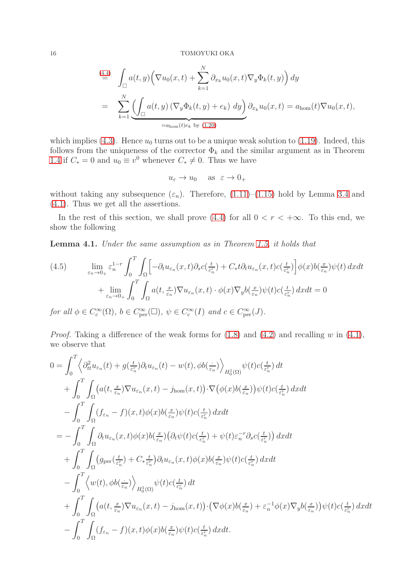$$
\stackrel{(4.4)}{=} \int_{\square} a(t,y) \left( \nabla u_0(x,t) + \sum_{k=1}^N \partial_{x_k} u_0(x,t) \nabla_y \Phi_k(t,y) \right) dy
$$
\n
$$
= \sum_{k=1}^N \underbrace{\left( \int_{\square} a(t,y) \left( \nabla_y \Phi_k(t,y) + e_k \right) dy \right)}_{=a_{\text{hom}}(t)e_k \text{ by (1.20)}} \partial_{x_k} u_0(x,t) = a_{\text{hom}}(t) \nabla u_0(x,t),
$$

which implies [\(4.3\)](#page-14-1). Hence  $u_0$  turns out to be a unique weak solution to [\(1.19\)](#page-4-1). Indeed, this follows from the uniqueness of the corrector  $\Phi_k$  and the similar argument as in Theorem [1.4](#page-3-2) if  $C_* = 0$  and  $u_0 \equiv v^0$  whenever  $C_* \neq 0$ . Thus we have

$$
u_{\varepsilon} \to u_0
$$
 as  $\varepsilon \to 0_+$ 

without taking any subsequence  $(\varepsilon_n)$ . Therefore, [\(1.11\)](#page-3-3)–[\(1.15\)](#page-4-5) hold by Lemma [3.4](#page-12-10) and [\(4.1\)](#page-13-1). Thus we get all the assertions.

In the rest of this section, we shall prove [\(4.4\)](#page-14-0) for all  $0 < r < +\infty$ . To this end, we show the following

Lemma 4.1. Under the same assumption as in Theorem [1.5,](#page-3-0) it holds that

<span id="page-15-0"></span>(4.5) 
$$
\lim_{\varepsilon_n \to 0_+} \varepsilon_n^{1-r} \int_0^T \int_{\Omega} \left[ -\partial_t u_{\varepsilon_n}(x,t) \partial_s c(\tfrac{t}{\varepsilon_n^r}) + C_* t \partial_t u_{\varepsilon_n}(x,t) c(\tfrac{t}{\varepsilon_n^r}) \right] \phi(x) b(\tfrac{x}{\varepsilon_n}) \psi(t) dx dt + \lim_{\varepsilon_n \to 0_+} \int_0^T \int_{\Omega} a(t, \tfrac{x}{\varepsilon_n}) \nabla u_{\varepsilon_n}(x,t) \cdot \phi(x) \nabla_y b(\tfrac{x}{\varepsilon_n}) \psi(t) c(\tfrac{t}{\varepsilon_n^r}) dx dt = 0
$$

for all  $\phi \in C_c^{\infty}(\Omega)$ ,  $b \in C_{\text{per}}^{\infty}(\square)$ ,  $\psi \in C_c^{\infty}(I)$  and  $c \in C_{\text{per}}^{\infty}(J)$ .

*Proof.* Taking a difference of the weak forms for  $(1.8)$  and  $(4.2)$  and recalling w in  $(4.1)$ , we observe that

$$
0 = \int_0^T \left\langle \partial_t^2 u_{\varepsilon_n}(t) + g(\frac{t}{\varepsilon_n}) \partial_t u_{\varepsilon_n}(t) - w(t), \phi b(\frac{t}{\varepsilon_n}) \right\rangle_{H_0^1(\Omega)} \psi(t) c(\frac{t}{\varepsilon_n^r}) dt + \int_0^T \int_{\Omega} \left( a(t, \frac{x}{\varepsilon_n}) \nabla u_{\varepsilon_n}(x, t) - j_{\text{hom}}(x, t) \right) \cdot \nabla \left( \phi(x) b(\frac{x}{\varepsilon_n}) \right) \psi(t) c(\frac{t}{\varepsilon_n^r}) dx dt - \int_0^T \int_{\Omega} (f_{\varepsilon_n} - f)(x, t) \phi(x) b(\frac{x}{\varepsilon_n}) \psi(t) c(\frac{t}{\varepsilon_n^r}) dx dt = - \int_0^T \int_{\Omega} \partial_t u_{\varepsilon_n}(x, t) \phi(x) b(\frac{x}{\varepsilon_n}) \left( \partial_t \psi(t) c(\frac{t}{\varepsilon_n^r}) + \psi(t) \varepsilon_n^{-r} \partial_s c(\frac{t}{\varepsilon_n^r}) \right) dx dt + \int_0^T \int_{\Omega} \left( g_{\text{per}}(\frac{t}{\varepsilon_n^r}) + C_* \frac{t}{\varepsilon_n^r} \right) \partial_t u_{\varepsilon_n}(x, t) \phi(x) b(\frac{x}{\varepsilon_n}) \psi(t) c(\frac{t}{\varepsilon_n^r}) dx dt - \int_0^T \left\langle w(t), \phi b(\frac{t}{\varepsilon_n}) \right\rangle_{H_0^1(\Omega)} \psi(t) c(\frac{t}{\varepsilon_n^r}) dt + \int_0^T \int_{\Omega} \left( a(t, \frac{x}{\varepsilon_n}) \nabla u_{\varepsilon_n}(x, t) - j_{\text{hom}}(x, t) \right) \cdot \left( \nabla \phi(x) b(\frac{x}{\varepsilon_n}) + \varepsilon_n^{-1} \phi(x) \nabla_y b(\frac{x}{\varepsilon_n}) \right) \psi(t) c(\frac{t}{\varepsilon_n^r}) dx dt - \int_0^T \int_{\Omega} \left( f_{\varepsilon_n} - f \right)(x, t) \phi(x) b(\frac{x}{\varepsilon_n}) \psi(t) c(\frac{t}{\varepsilon_n^r
$$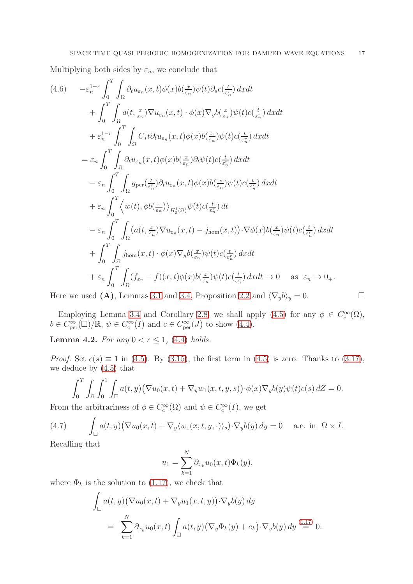Multiplying both sides by  $\varepsilon_n$ , we conclude that

<span id="page-16-1"></span>
$$
(4.6) \t - \varepsilon_n^{1-r} \int_0^T \int_{\Omega} \partial_t u_{\varepsilon_n}(x,t) \phi(x) b(\frac{x}{\varepsilon_n}) \psi(t) \partial_s c(\frac{t}{\varepsilon_n^r}) dx dt + \int_0^T \int_{\Omega} a(t, \frac{x}{\varepsilon_n}) \nabla u_{\varepsilon_n}(x,t) \cdot \phi(x) \nabla_y b(\frac{x}{\varepsilon_n}) \psi(t) c(\frac{t}{\varepsilon_n^r}) dx dt + \varepsilon_n^{1-r} \int_0^T \int_{\Omega} C_* t \partial_t u_{\varepsilon_n}(x,t) \phi(x) b(\frac{x}{\varepsilon_n}) \psi(t) c(\frac{t}{\varepsilon_n^r}) dx dt = \varepsilon_n \int_0^T \int_{\Omega} \partial_t u_{\varepsilon_n}(x,t) \phi(x) b(\frac{x}{\varepsilon_n}) \partial_t \psi(t) c(\frac{t}{\varepsilon_n^r}) dx dt - \varepsilon_n \int_0^T \int_{\Omega} g_{\text{per}}(\frac{t}{\varepsilon_n^r}) \partial_t u_{\varepsilon_n}(x,t) \phi(x) b(\frac{x}{\varepsilon_n}) \psi(t) c(\frac{t}{\varepsilon_n^r}) dx dt + \varepsilon_n \int_0^T \langle w(t), \phi b(\frac{t}{\varepsilon_n}) \rangle_{H_0^1(\Omega)} \psi(t) c(\frac{t}{\varepsilon_n^r}) dt - \varepsilon_n \int_0^T \int_{\Omega} \langle a(t, \frac{x}{\varepsilon_n}) \nabla u_{\varepsilon_n}(x,t) - j_{\text{hom}}(x,t) \rangle \cdot \nabla \phi(x) b(\frac{x}{\varepsilon_n}) \psi(t) c(\frac{t}{\varepsilon_n^r}) dx dt + \int_0^T \int_{\Omega} j_{\text{hom}}(x,t) \cdot \phi(x) \nabla_y b(\frac{x}{\varepsilon_n}) \psi(t) c(\frac{t}{\varepsilon_n^r}) dx dt \to 0 \quad \text{as } \varepsilon_n \to 0_+.
$$
  
\nHere we need (A) Lemmas 3,1 and 3,4. Proposition 2,2 and  $\langle \nabla h \rangle = 0$ 

Here we used (A), Lemmas [3.1](#page-9-2) and [3.4,](#page-12-10) Proposition [2.2](#page-7-0) and  $\langle \nabla_y b \rangle_y = 0$ .

Employing Lemma [3.4](#page-12-10) and Corollary [2.8,](#page-8-1) we shall apply [\(4.5\)](#page-15-0) for any  $\phi \in C_c^{\infty}(\Omega)$ ,  $b \in C^{\infty}_{\text{per}}(\square)/\mathbb{R}, \psi \in C^{\infty}_{\text{c}}(I) \text{ and } c \in C^{\infty}_{\text{per}}(J) \text{ to show (4.4)}.$  $b \in C^{\infty}_{\text{per}}(\square)/\mathbb{R}, \psi \in C^{\infty}_{\text{c}}(I) \text{ and } c \in C^{\infty}_{\text{per}}(J) \text{ to show (4.4)}.$  $b \in C^{\infty}_{\text{per}}(\square)/\mathbb{R}, \psi \in C^{\infty}_{\text{c}}(I) \text{ and } c \in C^{\infty}_{\text{per}}(J) \text{ to show (4.4)}.$ 

<span id="page-16-2"></span>Lemma 4.2. For any  $0 < r \leq 1$ , [\(4.4\)](#page-14-0) holds.

*Proof.* Set  $c(s) \equiv 1$  in [\(4.5\)](#page-15-0). By [\(3.15\)](#page-12-5), the first term in (4.5) is zero. Thanks to [\(3.17\)](#page-12-7), we deduce by [\(4.5\)](#page-15-0) that

$$
\int_0^T \int_{\Omega} \int_0^1 \int_{\square} a(t, y) \big( \nabla u_0(x, t) + \nabla_y w_1(x, t, y, s) \big) \cdot \phi(x) \nabla_y b(y) \psi(t) c(s) dZ = 0.
$$

From the arbitrariness of  $\phi \in C_c^{\infty}(\Omega)$  and  $\psi \in C_c^{\infty}(I)$ , we get

<span id="page-16-0"></span>(4.7) 
$$
\int_{\square} a(t, y) \left( \nabla u_0(x, t) + \nabla_y \langle w_1(x, t, y, \cdot) \rangle_s \right) \cdot \nabla_y b(y) \, dy = 0 \quad \text{a.e. in } \Omega \times I.
$$

Recalling that

$$
u_1 = \sum_{k=1}^N \partial_{x_k} u_0(x, t) \Phi_k(y),
$$

where  $\Phi_k$  is the solution to [\(1.17\)](#page-4-0), we check that

$$
\int_{\square} a(t, y) \left( \nabla u_0(x, t) + \nabla_y u_1(x, t, y) \right) \cdot \nabla_y b(y) dy
$$
\n
$$
= \sum_{k=1}^N \partial_{x_k} u_0(x, t) \int_{\square} a(t, y) \left( \nabla_y \Phi_k(y) + e_k \right) \cdot \nabla_y b(y) dy \stackrel{(1.17)}{=} 0.
$$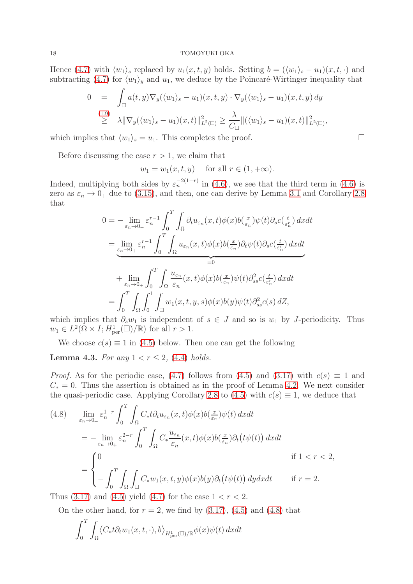Hence [\(4.7\)](#page-16-0) with  $\langle w_1 \rangle_s$  replaced by  $u_1(x, t, y)$  holds. Setting  $b = (\langle w_1 \rangle_s - u_1)(x, t, \cdot)$  and subtracting [\(4.7\)](#page-16-0) for  $\langle w_1 \rangle_y$  and  $u_1$ , we deduce by the Poincaré-Wirtinger inequality that

$$
0 = \int_{\square} a(t, y) \nabla_y (\langle w_1 \rangle_s - u_1)(x, t, y) \cdot \nabla_y (\langle w_1 \rangle_s - u_1)(x, t, y) dy
$$
  
\n
$$
\geq \lambda \|\nabla_y (\langle w_1 \rangle_s - u_1)(x, t)\|_{L^2(\square)}^2 \geq \frac{\lambda}{C_{\square}} \|(\langle w_1 \rangle_s - u_1)(x, t)\|_{L^2(\square)}^2,
$$

which implies that  $\langle w_1 \rangle_s = u_1$ . This completes the proof.

Before discussing the case  $r > 1$ , we claim that

 $w_1 = w_1(x, t, y)$  for all  $r \in (1, +\infty)$ .

Indeed, multiplying both sides by  $\varepsilon_n^{-2(1-r)}$  in [\(4.6\)](#page-16-1), we see that the third term in (4.6) is zero as  $\varepsilon_n \to 0_+$  due to [\(3.15\)](#page-12-5), and then, one can derive by Lemma [3.1](#page-9-2) and Corollary [2.8](#page-8-1) that

$$
0 = -\lim_{\varepsilon_n \to 0+} \varepsilon_n^{r-1} \int_0^T \int_{\Omega} \partial_t u_{\varepsilon_n}(x,t) \phi(x) b(\tfrac{x}{\varepsilon_n}) \psi(t) \partial_s c(\tfrac{t}{\varepsilon_n^r}) dx dt
$$
  
\n
$$
= \lim_{\varepsilon_n \to 0+} \varepsilon_n^{r-1} \int_0^T \int_{\Omega} u_{\varepsilon_n}(x,t) \phi(x) b(\tfrac{x}{\varepsilon_n}) \partial_t \psi(t) \partial_s c(\tfrac{t}{\varepsilon_n^r}) dx dt
$$
  
\n
$$
+ \lim_{\varepsilon_n \to 0+} \int_0^T \int_{\Omega} \frac{u_{\varepsilon_n}}{\varepsilon_n}(x,t) \phi(x) b(\tfrac{x}{\varepsilon_n}) \psi(t) \partial_{ss}^2 c(\tfrac{t}{\varepsilon_n^r}) dx dt
$$
  
\n
$$
= \int_0^T \int_{\Omega} \int_0^1 \int_{\square} w_1(x,t,y,s) \phi(x) b(y) \psi(t) \partial_{ss}^2 c(s) dZ,
$$

which implies that  $\partial_s w_1$  is independent of  $s \in J$  and so is  $w_1$  by J-periodicity. Thus  $w_1 \in L^2(\Omega \times I; H^1_{\text{per}}(\square)/\mathbb{R})$  for all  $r > 1$ .

We choose  $c(s) \equiv 1$  in [\(4.5\)](#page-15-0) below. Then one can get the following

<span id="page-17-1"></span>**Lemma 4.3.** For any  $1 < r \leq 2$ , [\(4.4\)](#page-14-0) holds.

*Proof.* As for the periodic case, [\(4.7\)](#page-16-0) follows from [\(4.5\)](#page-15-0) and [\(3.17\)](#page-12-7) with  $c(s) \equiv 1$  and  $C_* = 0$ . Thus the assertion is obtained as in the proof of Lemma [4.2.](#page-16-2) We next consider the quasi-periodic case. Applying Corollary [2.8](#page-8-1) to [\(4.5\)](#page-15-0) with  $c(s) \equiv 1$ , we deduce that

<span id="page-17-0"></span>
$$
(4.8) \lim_{\varepsilon_n \to 0_+} \varepsilon_n^{1-r} \int_0^T \int_{\Omega} C_* t \partial_t u_{\varepsilon_n}(x, t) \phi(x) b(\frac{x}{\varepsilon_n}) \psi(t) dx dt
$$
  
\n
$$
= - \lim_{\varepsilon_n \to 0_+} \varepsilon_n^{2-r} \int_0^T \int_{\Omega} C_* \frac{u_{\varepsilon_n}}{\varepsilon_n}(x, t) \phi(x) b(\frac{x}{\varepsilon_n}) \partial_t (t \psi(t)) dx dt
$$
  
\nif  $1 < r < 2$ ,  
\n
$$
= \begin{cases} 0 & \text{if } 1 < r < 2, \\ - \int_0^T \int_{\Omega} \int_{\Omega} C_* w_1(x, t, y) \phi(x) b(y) \partial_t (t \psi(t)) dy dx dt & \text{if } r = 2. \end{cases}
$$

Thus  $(3.17)$  and  $(4.5)$  yield  $(4.7)$  for the case  $1 < r < 2$ .

On the other hand, for  $r = 2$ , we find by  $(3.17)$ ,  $(4.5)$  and  $(4.8)$  that

$$
\int_0^T \int_{\Omega} \langle C_* t \partial_t w_1(x, t, \cdot), b \rangle_{H^1_{\text{per}}(\square)/\mathbb{R}} \phi(x) \psi(t) \, dx dt
$$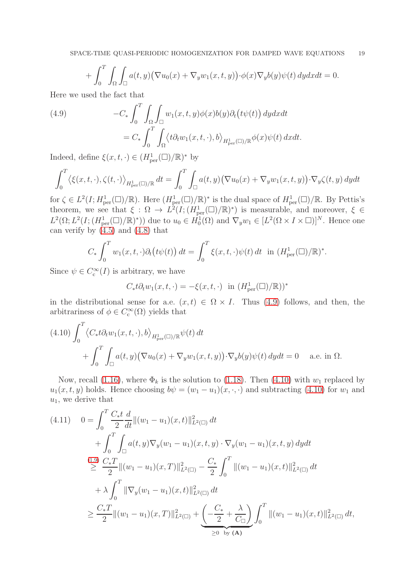$$
+ \int_0^T \int_{\Omega} \int_{\square} a(t, y) \big( \nabla u_0(x) + \nabla_y w_1(x, t, y) \big) \cdot \phi(x) \nabla_y b(y) \psi(t) \, dy dx dt = 0.
$$

Here we used the fact that

<span id="page-18-0"></span>(4.9) 
$$
-C_* \int_0^T \int_{\Omega} \int_{\square} w_1(x, t, y) \phi(x) b(y) \partial_t (t \psi(t)) dy dx dt
$$

$$
= C_* \int_0^T \int_{\Omega} \langle t \partial_t w_1(x, t, \cdot), b \rangle_{H^1_{\text{per}}(\square)/\mathbb{R}} \phi(x) \psi(t) dx dt.
$$

Indeed, define  $\xi(x, t, \cdot) \in (H^1_{\text{per}}(\square)/\mathbb{R})^*$  by

$$
\int_0^T \langle \xi(x, t, \cdot), \zeta(t, \cdot) \rangle_{H^1_{\text{per}}(\square)/\mathbb{R}} dt = \int_0^T \int_{\square} a(t, y) \big( \nabla u_0(x) + \nabla_y w_1(x, t, y) \big) \cdot \nabla_y \zeta(t, y) dy dt
$$

for  $\zeta \in L^2(I; H^1_{\text{per}}(\square)/\mathbb{R})$ . Here  $(H^1_{\text{per}}(\square)/\mathbb{R})^*$  is the dual space of  $H^1_{\text{per}}(\square)/\mathbb{R}$ . By Pettis's theorem, we see that  $\xi : \Omega \to L^2(I; (H_{\text{per}}^1(\square)/\mathbb{R})^*)$  is measurable, and moreover,  $\xi \in$  $L^2(\Omega; L^2(I; (H^1_{\text{per}}(\square)/\mathbb{R})^*))$  due to  $u_0 \in \dot{H}_0^1(\Omega)$  and  $\nabla_y w_1 \in [L^2(\Omega \times I \times \square)]^N$ . Hence one can verify by  $(4.5)$  and  $(4.8)$  that

$$
C_* \int_0^T w_1(x, t, \cdot) \partial_t \big( t \psi(t) \big) dt = \int_0^T \xi(x, t, \cdot) \psi(t) dt \text{ in } (H^1_{\text{per}}(\square)/\mathbb{R})^*.
$$

Since  $\psi \in C_c^{\infty}(I)$  is arbitrary, we have

$$
C_* t \partial_t w_1(x, t, \cdot) = -\xi(x, t, \cdot) \text{ in } (H^1_{\text{per}}(\square)/\mathbb{R}))^*
$$

in the distributional sense for a.e.  $(x, t) \in \Omega \times I$ . Thus [\(4.9\)](#page-18-0) follows, and then, the arbitrariness of  $\phi \in C_c^{\infty}(\Omega)$  yields that

<span id="page-18-1"></span>
$$
(4.10) \int_0^T \langle C_* t \partial_t w_1(x, t, \cdot), b \rangle_{H^1_{\text{per}}(\square)/\mathbb{R}} \psi(t) dt + \int_0^T \int_{\square} a(t, y) \big( \nabla u_0(x) + \nabla_y w_1(x, t, y) \big) \cdot \nabla_y b(y) \psi(t) dy dt = 0 \quad \text{a.e. in } \Omega.
$$

Now, recall [\(1.16\)](#page-4-4), where  $\Phi_k$  is the solution to [\(1.18\)](#page-4-2). Then [\(4.10\)](#page-18-1) with  $w_1$  replaced by  $u_1(x, t, y)$  holds. Hence choosing  $b\psi = (w_1 - u_1)(x, \cdot, \cdot)$  and subtracting [\(4.10\)](#page-18-1) for  $w_1$  and  $u_1$ , we derive that

<span id="page-18-2"></span>
$$
(4.11) \quad 0 = \int_0^T \frac{C_* t}{2} \frac{d}{dt} ||(w_1 - u_1)(x, t)||_{L^2(\square)}^2 dt + \int_0^T \int_{\square} a(t, y) \nabla_y (w_1 - u_1)(x, t, y) \cdot \nabla_y (w_1 - u_1)(x, t, y) dy dt \n\geq \frac{C_* T}{2} ||(w_1 - u_1)(x, T)||_{L^2(\square)}^2 - \frac{C_*}{2} \int_0^T ||(w_1 - u_1)(x, t)||_{L^2(\square)}^2 dt + \lambda \int_0^T ||\nabla_y (w_1 - u_1)(x, t)||_{L^2(\square)}^2 dt \n\geq \frac{C_* T}{2} ||(w_1 - u_1)(x, T)||_{L^2(\square)}^2 + \underbrace{\left(-\frac{C_*}{2} + \frac{\lambda}{C_\square}\right)}_{\geq 0} \int_0^T ||(w_1 - u_1)(x, t)||_{L^2(\square)}^2 dt,
$$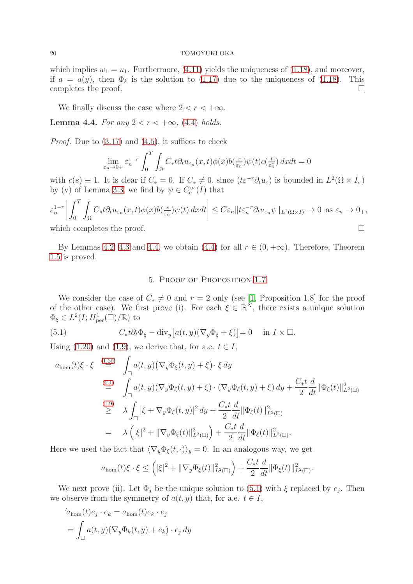which implies  $w_1 = u_1$ . Furthermore, [\(4.11\)](#page-18-2) yields the uniqueness of [\(1.18\)](#page-4-2), and moreover, if  $a = a(y)$ , then  $\Phi_k$  is the solution to [\(1.17\)](#page-4-0) due to the uniqueness of [\(1.18\)](#page-4-2). This completes the proof.  $\Box$ 

We finally discuss the case where  $2 < r < +\infty$ .

<span id="page-19-0"></span>**Lemma 4.4.** For any  $2 < r < +\infty$ , [\(4.4\)](#page-14-0) holds.

*Proof.* Due to  $(3.17)$  and  $(4.5)$ , it suffices to check

$$
\lim_{\varepsilon_n \to 0+} \varepsilon_n^{1-r} \int_0^T \int_{\Omega} C_* t \partial_t u_{\varepsilon_n}(x,t) \phi(x) b(\tfrac{x}{\varepsilon_n}) \psi(t) c(\tfrac{t}{\varepsilon_n^r}) dx dt = 0
$$

with  $c(s) \equiv 1$ . It is clear if  $C_* = 0$ . If  $C_* \neq 0$ , since  $(t \varepsilon^{-r} \partial_t u_{\varepsilon})$  is bounded in  $L^2(\Omega \times I_{\sigma})$ by (v) of Lemma [3.3,](#page-11-1) we find by  $\psi \in C_c^{\infty}(I)$  that

$$
\varepsilon_n^{1-r} \left| \int_0^T \int_{\Omega} C_* t \partial_t u_{\varepsilon_n}(x,t) \phi(x) b(\tfrac{x}{\varepsilon_n}) \psi(t) dx dt \right| \leq C \varepsilon_n \| t \varepsilon_n^{-r} \partial_t u_{\varepsilon_n} \psi \|_{L^1(\Omega \times I)} \to 0 \text{ as } \varepsilon_n \to 0_+,
$$

which completes the proof.

By Lemmas [4.2,](#page-16-2) [4.3](#page-17-1) and [4.4,](#page-19-0) we obtain [\(4.4\)](#page-14-0) for all  $r \in (0, +\infty)$ . Therefore, Theorem [1.5](#page-3-0) is proved.

## 5. Proof of Proposition [1.7](#page-5-0)

We consider the case of  $C_* \neq 0$  and  $r = 2$  only (see [\[1,](#page-24-3) Proposition 1.8] for the proof of the other case). We first prove (i). For each  $\xi \in \mathbb{R}^N$ , there exists a unique solution  $\Phi_{\xi} \in L^2(I; H^1_{\text{per}}(\square)/\mathbb{R})$  to

<span id="page-19-1"></span>(5.1) 
$$
C_* t \partial_t \Phi_{\xi} - \text{div}_y \big[ a(t, y) (\nabla_y \Phi_{\xi} + \xi) \big] = 0 \quad \text{in } I \times \square.
$$

Using [\(1.20\)](#page-4-3) and [\(1.9\)](#page-2-3), we derive that, for a.e.  $t \in I$ ,

$$
a_{\text{hom}}(t)\xi \cdot \xi \stackrel{(1.20)}{=} \int_{\square} a(t, y) \left( \nabla_y \Phi_{\xi}(t, y) + \xi \right) \cdot \xi \, dy
$$
  
\n
$$
\stackrel{(5.1)}{=} \int_{\square} a(t, y) \left( \nabla_y \Phi_{\xi}(t, y) + \xi \right) \cdot \left( \nabla_y \Phi_{\xi}(t, y) + \xi \right) \, dy + \frac{C_* t}{2} \frac{d}{dt} \|\Phi_{\xi}(t)\|_{L^2(\square)}^2
$$
  
\n
$$
\stackrel{(1.9)}{\geq} \lambda \int_{\square} |\xi + \nabla_y \Phi_{\xi}(t, y)|^2 \, dy + \frac{C_* t}{2} \frac{d}{dt} \|\Phi_{\xi}(t)\|_{L^2(\square)}^2
$$
  
\n
$$
= \lambda \left( |\xi|^2 + \|\nabla_y \Phi_{\xi}(t)\|_{L^2(\square)}^2 \right) + \frac{C_* t}{2} \frac{d}{dt} \|\Phi_{\xi}(t)\|_{L^2(\square)}^2.
$$

Here we used the fact that  $\langle \nabla_y \Phi_{\xi}(t, \cdot) \rangle_y = 0$ . In an analogous way, we get

$$
a_{\text{hom}}(t)\xi \cdot \xi \leq \left( |\xi|^2 + \|\nabla_y \Phi_{\xi}(t)\|_{L^2(\square)}^2 \right) + \frac{C_* t}{2} \frac{d}{dt} \|\Phi_{\xi}(t)\|_{L^2(\square)}^2.
$$

We next prove (ii). Let  $\Phi_j$  be the unique solution to [\(5.1\)](#page-19-1) with  $\xi$  replaced by  $e_j$ . Then we observe from the symmetry of  $a(t, y)$  that, for a.e.  $t \in I$ ,

$$
{}^{t}a_{\text{hom}}(t)e_j \cdot e_k = a_{\text{hom}}(t)e_k \cdot e_j
$$
  
= 
$$
\int_{\square} a(t, y)(\nabla_y \Phi_k(t, y) + e_k) \cdot e_j dy
$$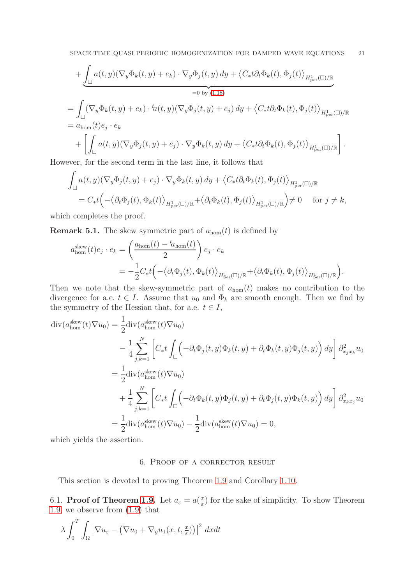$$
+ \underbrace{\int_{\square} a(t,y)(\nabla_y \Phi_k(t,y) + e_k) \cdot \nabla_y \Phi_j(t,y) dy}_{=0 \text{ by } (1.18)} + \underbrace{\left\langle C_* t \partial_t \Phi_k(t), \Phi_j(t) \right\rangle_{H^1_{\text{per}}(\square)/\mathbb{R}}}_{=0 \text{ by } (1.18)}
$$
\n
$$
= \underbrace{\int_{\square} (\nabla_y \Phi_k(t,y) + e_k) \cdot {}^t\!a(t,y)(\nabla_y \Phi_j(t,y) + e_j) dy}_{= a_{\text{hom}}(t)e_j \cdot e_k} + \left[ \underbrace{\int_{\square} a(t,y)(\nabla_y \Phi_j(t,y) + e_j) \cdot \nabla_y \Phi_k(t,y) dy}_{= a_{\text{hom}}(t)e_j \cdot e_k} + \left[ \underbrace{\int_{\square} a(t,y)(\nabla_y \Phi_j(t,y) + e_j) \cdot \nabla_y \Phi_k(t,y) dy}_{= a_{\text{hom}}(t)e_j \cdot e_k} + \underbrace{\int_{\square} a(t,y)(\nabla_y \Phi_j(t,y) + e_j) \cdot \nabla_y \Phi_k(t,y) dy}_{= a_{\text{hom}}(t)e_j \cdot e_k} + \underbrace{\int_{\square} a(t,y)(\nabla_y \Phi_j(t,y) + e_j) \cdot \nabla_y \Phi_k(t,y) dy}_{= a_{\text{hom}}(t)e_j \cdot e_k} + \underbrace{\int_{\square} a(t,y)(\nabla_y \Phi_j(t,y) + e_j) \cdot \nabla_y \Phi_k(t,y) dy}_{= a_{\text{hom}}(t)e_j \cdot e_k} + \underbrace{\int_{\square} a(t,y)(\nabla_y \Phi_j(t,y) + e_j) \cdot \nabla_y \Phi_k(t,y) dy}_{= a_{\text{hom}}(t)e_j \cdot e_k} + \underbrace{\int_{\square} a(t,y)(\nabla_y \Phi_j(t,y) + e_j) \cdot \nabla_y \Phi_k(t,y) dy}_{= a_{\text{hom}}(t)e_j \cdot e_k} + \underbrace{\int_{\square} a(t,y)(\nabla_y \Phi_j(t,y) + e_j) \cdot \nabla_y \Phi_k(t,y) dy}_{= a_{\text{hom}}(t)e_j \cdot e_k} + \underbrace{\int_{\square} a(t,y)(\nabla_y \Phi_j(t,y) + e_j) \cdot \nabla_y \Phi_k(t,y) dy}_{= a_{\text{hom}}(t)e_j \cdot e_k} + \underbrace{\int_{
$$

However, for the second term in the last line, it follows that

$$
\int_{\square} a(t, y) (\nabla_y \Phi_j(t, y) + e_j) \cdot \nabla_y \Phi_k(t, y) dy + \langle C_* t \partial_t \Phi_k(t), \Phi_j(t) \rangle_{H^1_{\text{per}}(\square)/\mathbb{R}}
$$
\n
$$
= C_* t \Big( - \langle \partial_t \Phi_j(t), \Phi_k(t) \rangle_{H^1_{\text{per}}(\square)/\mathbb{R}} + \langle \partial_t \Phi_k(t), \Phi_j(t) \rangle_{H^1_{\text{per}}(\square)/\mathbb{R}} \Big) \neq 0 \quad \text{for } j \neq k,
$$

which completes the proof.

<span id="page-20-0"></span>**Remark 5.1.** The skew symmetric part of  $a_{\text{hom}}(t)$  is defined by

$$
a_{\text{hom}}^{\text{skew}}(t)e_j \cdot e_k = \left(\frac{a_{\text{hom}}(t) - t_{a_{\text{hom}}}(t)}{2}\right) e_j \cdot e_k
$$
  
= 
$$
-\frac{1}{2}C_*t\left(-\langle \partial_t \Phi_j(t), \Phi_k(t) \rangle_{H^1_{\text{per}}(\square)/\mathbb{R}} + \langle \partial_t \Phi_k(t), \Phi_j(t) \rangle_{H^1_{\text{per}}(\square)/\mathbb{R}}\right).
$$

Then we note that the skew-symmetric part of  $a_{\text{hom}}(t)$  makes no contribution to the divergence for a.e.  $t \in I$ . Assume that  $u_0$  and  $\Phi_k$  are smooth enough. Then we find by the symmetry of the Hessian that, for a.e.  $t \in I$ ,

$$
\begin{split} \operatorname{div}(a_{\text{hom}}^{\text{skew}}(t)\nabla u_{0}) &= \frac{1}{2} \operatorname{div}(a_{\text{hom}}^{\text{skew}}(t)\nabla u_{0}) \\ &- \frac{1}{4} \sum_{j,k=1}^{N} \left[ C_{*}t \int_{\square} \left( -\partial_{t}\Phi_{j}(t,y)\Phi_{k}(t,y) + \partial_{t}\Phi_{k}(t,y)\Phi_{j}(t,y) \right) dy \right] \partial_{x_{j}x_{k}}^{2} u_{0} \\ &= \frac{1}{2} \operatorname{div}(a_{\text{hom}}^{\text{skew}}(t)\nabla u_{0}) \\ &+ \frac{1}{4} \sum_{j,k=1}^{N} \left[ C_{*}t \int_{\square} \left( -\partial_{t}\Phi_{k}(t,y)\Phi_{j}(t,y) + \partial_{t}\Phi_{j}(t,y)\Phi_{k}(t,y) \right) dy \right] \partial_{x_{k}x_{j}}^{2} u_{0} \\ &= \frac{1}{2} \operatorname{div}(a_{\text{hom}}^{\text{skew}}(t)\nabla u_{0}) - \frac{1}{2} \operatorname{div}(a_{\text{hom}}^{\text{skew}}(t)\nabla u_{0}) = 0, \end{split}
$$

which yields the assertion.

## 6. Proof of a corrector result

This section is devoted to proving Theorem [1.9](#page-5-5) and Corollary [1.10.](#page-5-6)

6.1. Proof of Theorem [1.9.](#page-5-5) Let  $a_{\varepsilon} = a(\frac{x}{\varepsilon})$  $\frac{x}{\varepsilon}$ ) for the sake of simplicity. To show Theorem [1.9,](#page-5-5) we observe from [\(1.9\)](#page-2-3) that

$$
\lambda \int_0^T \int_{\Omega} \left| \nabla u_{\varepsilon} - \left( \nabla u_0 + \nabla_y u_1(x, t, \frac{x}{\varepsilon}) \right) \right|^2 dx dt
$$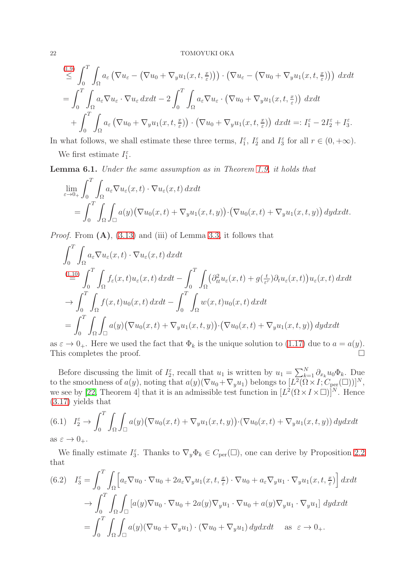$$
\begin{split}\n\stackrel{(1.9)}{\leq} \int_0^T \int_{\Omega} a_{\varepsilon} \left( \nabla u_{\varepsilon} - \left( \nabla u_0 + \nabla_y u_1(x, t, \frac{x}{\varepsilon}) \right) \right) \cdot \left( \nabla u_{\varepsilon} - \left( \nabla u_0 + \nabla_y u_1(x, t, \frac{x}{\varepsilon}) \right) \right) \, dx dt \\
= \int_0^T \int_{\Omega} a_{\varepsilon} \nabla u_{\varepsilon} \cdot \nabla u_{\varepsilon} \, dx dt - 2 \int_0^T \int_{\Omega} a_{\varepsilon} \nabla u_{\varepsilon} \cdot \left( \nabla u_0 + \nabla_y u_1(x, t, \frac{x}{\varepsilon}) \right) \, dx dt \\
+ \int_0^T \int_{\Omega} a_{\varepsilon} \left( \nabla u_0 + \nabla_y u_1(x, t, \frac{x}{\varepsilon}) \right) \cdot \left( \nabla u_0 + \nabla_y u_1(x, t, \frac{x}{\varepsilon}) \right) \, dx dt =: I_1^{\varepsilon} - 2I_2^{\varepsilon} + I_3^{\varepsilon}.\n\end{split}
$$

In what follows, we shall estimate these three terms,  $I_1^{\varepsilon}$ ,  $I_2^{\varepsilon}$  and  $I_3^{\varepsilon}$  for all  $r \in (0, +\infty)$ .

We first estimate  $I_1^{\varepsilon}$ .

<span id="page-21-0"></span>Lemma 6.1. Under the same assumption as in Theorem [1.9,](#page-5-5) it holds that

$$
\lim_{\varepsilon \to 0+} \int_0^T \int_{\Omega} a_{\varepsilon} \nabla u_{\varepsilon}(x,t) \cdot \nabla u_{\varepsilon}(x,t) dxdt
$$
\n
$$
= \int_0^T \int_{\Omega} \int_{\square} a(y) \big( \nabla u_0(x,t) + \nabla_y u_1(x,t,y) \big) \cdot \big( \nabla u_0(x,t) + \nabla_y u_1(x,t,y) \big) dydxdt.
$$

*Proof.* From  $(A)$ ,  $(3.13)$  and  $(iii)$  of Lemma [3.3,](#page-11-1) it follows that

$$
\int_0^T \int_{\Omega} a_{\varepsilon} \nabla u_{\varepsilon}(x, t) \cdot \nabla u_{\varepsilon}(x, t) dx dt
$$
\n
$$
\stackrel{(1.10)}{=} \int_0^T \int_{\Omega} f_{\varepsilon}(x, t) u_{\varepsilon}(x, t) dx dt - \int_0^T \int_{\Omega} (\partial_{tt}^2 u_{\varepsilon}(x, t) + g(\frac{t}{\varepsilon^r}) \partial_t u_{\varepsilon}(x, t)) u_{\varepsilon}(x, t) dx dt
$$
\n
$$
\to \int_0^T \int_{\Omega} f(x, t) u_0(x, t) dx dt - \int_0^T \int_{\Omega} w(x, t) u_0(x, t) dx dt
$$
\n
$$
= \int_0^T \int_{\Omega} \int_{\square} a(y) (\nabla u_0(x, t) + \nabla_y u_1(x, t, y)) \cdot (\nabla u_0(x, t) + \nabla_y u_1(x, t, y)) dy dx dt
$$

as  $\varepsilon \to 0_+$ . Here we used the fact that  $\Phi_k$  is the unique solution to [\(1.17\)](#page-4-0) due to  $a = a(y)$ .<br>This completes the proof. This completes the proof.

Before discussing the limit of  $I_2^{\varepsilon}$ , recall that  $u_1$  is written by  $u_1 = \sum_{k=1}^{N} \partial_{x_k} u_0 \Phi_k$ . Due to the smoothness of  $a(y)$ , noting that  $a(y)(\nabla u_0 + \nabla_y u_1)$  belongs to  $[L^2(\Omega \times I; C_{\text{per}}(\square))]^N$ , we see by [\[22,](#page-25-2) Theorem 4] that it is an admissible test function in  $[L^2(\Omega \times I \times \square)]^N$ . Hence [\(3.17\)](#page-12-7) yields that

<span id="page-21-1"></span>(6.1) 
$$
I_2^{\varepsilon} \to \int_0^T \int_{\Omega} \int_{\square} a(y) (\nabla u_0(x, t) + \nabla_y u_1(x, t, y)) \cdot (\nabla u_0(x, t) + \nabla_y u_1(x, t, y)) dy dx dt
$$
  
as  $\varepsilon \to 0_+$ .

We finally estimate  $I_3^{\varepsilon}$ . Thanks to  $\nabla_y \Phi_k \in C_{per}(\square)$ , one can derive by Proposition [2.2](#page-7-0) that

<span id="page-21-2"></span>
$$
(6.2) \quad I_3^{\varepsilon} = \int_0^T \int_{\Omega} \left[ a_{\varepsilon} \nabla u_0 \cdot \nabla u_0 + 2 a_{\varepsilon} \nabla_y u_1(x, t, \frac{x}{\varepsilon}) \cdot \nabla u_0 + a_{\varepsilon} \nabla_y u_1 \cdot \nabla_y u_1(x, t, \frac{x}{\varepsilon}) \right] dx dt
$$

$$
\to \int_0^T \int_{\Omega} \int_{\square} \left[ a(y) \nabla u_0 \cdot \nabla u_0 + 2a(y) \nabla_y u_1 \cdot \nabla u_0 + a(y) \nabla_y u_1 \cdot \nabla_y u_1 \right] dy dx dt
$$

$$
= \int_0^T \int_{\Omega} \int_{\square} a(y) (\nabla u_0 + \nabla_y u_1) \cdot (\nabla u_0 + \nabla_y u_1) dy dx dt \quad \text{as } \varepsilon \to 0_+.
$$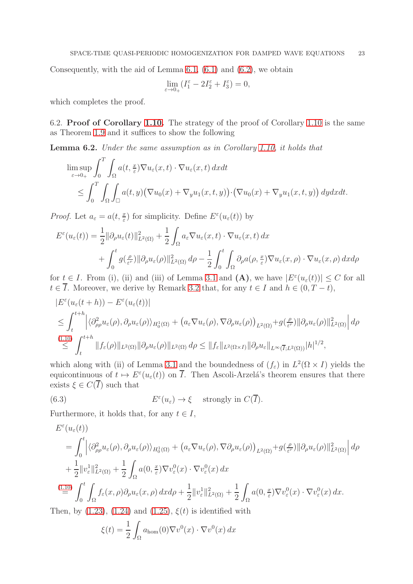Consequently, with the aid of Lemma  $6.1, (6.1)$  $6.1, (6.1)$  and  $(6.2)$ , we obtain

$$
\lim_{\varepsilon \to 0_+} (I_1^{\varepsilon} - 2I_2^{\varepsilon} + I_3^{\varepsilon}) = 0,
$$

which completes the proof.

6.2. Proof of Corollary [1.10.](#page-5-6) The strategy of the proof of Corollary [1.10](#page-5-6) is the same as Theorem [1.9](#page-5-5) and it suffices to show the following

Lemma 6.2. Under the same assumption as in Corollary [1.10,](#page-5-6) it holds that

$$
\limsup_{\varepsilon \to 0+} \int_0^T \int_{\Omega} a(t, \frac{x}{\varepsilon}) \nabla u_{\varepsilon}(x, t) \cdot \nabla u_{\varepsilon}(x, t) dx dt
$$
\n
$$
\leq \int_0^T \int_{\Omega} \int_{\square} a(t, y) (\nabla u_0(x) + \nabla_y u_1(x, t, y)) \cdot (\nabla u_0(x) + \nabla_y u_1(x, t, y)) dy dx dt.
$$

*Proof.* Let  $a_{\varepsilon} = a(t, \frac{x}{\varepsilon})$  for simplicity. Define  $E^{\varepsilon}(u_{\varepsilon}(t))$  by

$$
E^{\varepsilon}(u_{\varepsilon}(t)) = \frac{1}{2} ||\partial_{\rho}u_{\varepsilon}(t)||_{L^{2}(\Omega)}^{2} + \frac{1}{2} \int_{\Omega} a_{\varepsilon} \nabla u_{\varepsilon}(x,t) \cdot \nabla u_{\varepsilon}(x,t) dx + \int_{0}^{t} g(\frac{\rho}{\varepsilon^{r}}) ||\partial_{\rho}u_{\varepsilon}(\rho)||_{L^{2}(\Omega)}^{2} d\rho - \frac{1}{2} \int_{0}^{t} \int_{\Omega} \partial_{\rho}a(\rho, \frac{x}{\varepsilon}) \nabla u_{\varepsilon}(x,\rho) \cdot \nabla u_{\varepsilon}(x,\rho) dx d\rho
$$

for  $t \in I$ . From (i), (ii) and (iii) of Lemma [3.1](#page-9-2) and (A), we have  $|E^{\varepsilon}(u_{\varepsilon}(t))| \leq C$  for all  $t \in \overline{I}$ . Moreover, we derive by Remark [3.2](#page-11-0) that, for any  $t \in I$  and  $h \in (0, T - t)$ ,

$$
|E^{\varepsilon}(u_{\varepsilon}(t+h)) - E^{\varepsilon}(u_{\varepsilon}(t))|
$$
  
\n
$$
\leq \int_{t}^{t+h} \left| \langle \partial_{\rho\rho}^{2} u_{\varepsilon}(\rho), \partial_{\rho} u_{\varepsilon}(\rho) \rangle_{H_{0}^{1}(\Omega)} + (a_{\varepsilon} \nabla u_{\varepsilon}(\rho), \nabla \partial_{\rho} u_{\varepsilon}(\rho))_{L^{2}(\Omega)} + g(\frac{\rho}{\varepsilon}) \|\partial_{\rho} u_{\varepsilon}(\rho)\|_{L^{2}(\Omega)}^{2} \right| d\rho
$$
  
\n
$$
\leq \int_{t}^{t+h} \|f_{\varepsilon}(\rho)\|_{L^{2}(\Omega)} \|\partial_{\rho} u_{\varepsilon}(\rho)\|_{L^{2}(\Omega)} d\rho \leq \|f_{\varepsilon}\|_{L^{2}(\Omega \times I)} \|\partial_{\rho} u_{\varepsilon}\|_{L^{\infty}(\overline{I};L^{2}(\Omega))} |h|^{1/2},
$$

which along with (ii) of Lemma [3.1](#page-9-2) and the boundedness of  $(f_{\varepsilon})$  in  $L^2(\Omega \times I)$  yields the equicontinuous of  $t \mapsto E^{\varepsilon}(u_{\varepsilon}(t))$  on  $\overline{I}$ . Then Ascoli-Arzelá's theorem ensures that there exists  $\xi \in C(\overline{I})$  such that

<span id="page-22-0"></span>(6.3) 
$$
E^{\varepsilon}(u_{\varepsilon}) \to \xi \quad \text{ strongly in } C(\overline{I}).
$$

Furthermore, it holds that, for any  $t \in I$ ,

$$
E^{\varepsilon}(u_{\varepsilon}(t))
$$
\n
$$
= \int_{0}^{t} \left| \langle \partial_{\rho\rho}^{2} u_{\varepsilon}(\rho), \partial_{\rho} u_{\varepsilon}(\rho) \rangle_{H_{0}^{1}(\Omega)} + \left( a_{\varepsilon} \nabla u_{\varepsilon}(\rho), \nabla \partial_{\rho} u_{\varepsilon}(\rho) \right)_{L^{2}(\Omega)} + g(\frac{\rho}{\varepsilon^{r}}) \|\partial_{\rho} u_{\varepsilon}(\rho)\|_{L^{2}(\Omega)}^{2} \right| d\rho
$$
\n
$$
+ \frac{1}{2} \|v_{\varepsilon}^{1}\|_{L^{2}(\Omega)}^{2} + \frac{1}{2} \int_{\Omega} a(0, \frac{x}{\varepsilon}) \nabla v_{\varepsilon}^{0}(x) \cdot \nabla v_{\varepsilon}^{0}(x) dx
$$
\n
$$
\stackrel{(1.10)}{=} \int_{0}^{t} \int_{\Omega} f_{\varepsilon}(x, \rho) \partial_{\rho} u_{\varepsilon}(x, \rho) dx d\rho + \frac{1}{2} \|v_{\varepsilon}^{1}\|_{L^{2}(\Omega)}^{2} + \frac{1}{2} \int_{\Omega} a(0, \frac{x}{\varepsilon}) \nabla v_{\varepsilon}^{0}(x) \cdot \nabla v_{\varepsilon}^{0}(x) dx.
$$
\nwhere, he (1.22), (1.24), and (1.25), (4), is analytic for all the

Then, by  $(1.23)$ ,  $(1.24)$  and  $(1.25)$ ,  $\xi(t)$  is identified with

$$
\xi(t) = \frac{1}{2} \int_{\Omega} a_{\text{hom}}(0) \nabla v^{0}(x) \cdot \nabla v^{0}(x) dx
$$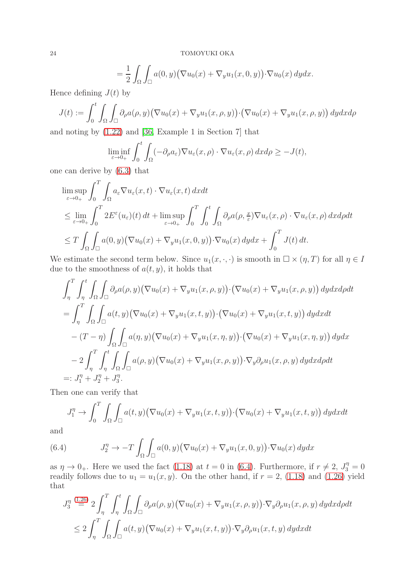$$
= \frac{1}{2} \int_{\Omega} \int_{\square} a(0, y) (\nabla u_0(x) + \nabla_y u_1(x, 0, y)) \cdot \nabla u_0(x) dy dx.
$$

Hence defining  $J(t)$  by

$$
J(t) := \int_0^t \int_{\Omega} \int_{\square} \partial_{\rho} a(\rho, y) (\nabla u_0(x) + \nabla_y u_1(x, \rho, y)) \cdot (\nabla u_0(x) + \nabla_y u_1(x, \rho, y)) dy dx d\rho
$$

and noting by [\(1.22\)](#page-5-1) and [\[36,](#page-25-4) Example 1 in Section 7] that

$$
\liminf_{\varepsilon \to 0+} \int_0^t \int_{\Omega} (-\partial_{\rho} a_{\varepsilon}) \nabla u_{\varepsilon}(x,\rho) \cdot \nabla u_{\varepsilon}(x,\rho) dx d\rho \ge -J(t),
$$

one can derive by [\(6.3\)](#page-22-0) that

$$
\limsup_{\varepsilon \to 0+} \int_0^T \int_{\Omega} a_{\varepsilon} \nabla u_{\varepsilon}(x, t) \cdot \nabla u_{\varepsilon}(x, t) dx dt
$$
\n
$$
\leq \lim_{\varepsilon \to 0+} \int_0^T 2E^{\varepsilon}(u_{\varepsilon})(t) dt + \limsup_{\varepsilon \to 0+} \int_0^T \int_0^t \int_{\Omega} \partial_{\rho} a(\rho, \frac{x}{\varepsilon}) \nabla u_{\varepsilon}(x, \rho) \cdot \nabla u_{\varepsilon}(x, \rho) dx d\rho dt
$$
\n
$$
\leq T \int_{\Omega} \int_{\square} a(0, y) \big( \nabla u_0(x) + \nabla_y u_1(x, 0, y) \big) \cdot \nabla u_0(x) dy dx + \int_0^T J(t) dt.
$$

We estimate the second term below. Since  $u_1(x, \cdot, \cdot)$  is smooth in  $\Box \times (\eta, T)$  for all  $\eta \in I$ due to the smoothness of  $a(t, y)$ , it holds that

$$
\int_{\eta}^{T} \int_{\eta}^{t} \int_{\Omega} \int_{\Omega} \partial_{\rho} a(\rho, y) (\nabla u_{0}(x) + \nabla_{y} u_{1}(x, \rho, y)) \cdot (\nabla u_{0}(x) + \nabla_{y} u_{1}(x, \rho, y)) dy dx d\rho dt
$$
\n
$$
= \int_{\eta}^{T} \int_{\Omega} \int_{\square} a(t, y) (\nabla u_{0}(x) + \nabla_{y} u_{1}(x, t, y)) \cdot (\nabla u_{0}(x) + \nabla_{y} u_{1}(x, t, y)) dy dx dt
$$
\n
$$
- (T - \eta) \int_{\Omega} \int_{\square} a(\eta, y) (\nabla u_{0}(x) + \nabla_{y} u_{1}(x, \eta, y)) \cdot (\nabla u_{0}(x) + \nabla_{y} u_{1}(x, \eta, y)) dy dx
$$
\n
$$
- 2 \int_{\eta}^{T} \int_{\eta}^{t} \int_{\Omega} \int_{\square} a(\rho, y) (\nabla u_{0}(x) + \nabla_{y} u_{1}(x, \rho, y)) \cdot \nabla_{y} \partial_{\rho} u_{1}(x, \rho, y) dy dx d\rho dt
$$
\n
$$
=: J_{1}^{\eta} + J_{2}^{\eta} + J_{3}^{\eta}.
$$

Then one can verify that

$$
J_1^{\eta} \to \int_0^T \int_{\Omega} \int_{\square} a(t, y) \big( \nabla u_0(x) + \nabla_y u_1(x, t, y) \big) \cdot \big( \nabla u_0(x) + \nabla_y u_1(x, t, y) \big) dy dx dt
$$

and

<span id="page-23-0"></span>(6.4) 
$$
J_2^{\eta} \to -T \int_{\Omega} \int_{\square} a(0, y) (\nabla u_0(x) + \nabla_y u_1(x, 0, y)) \cdot \nabla u_0(x) dy dx
$$

as  $\eta \to 0_+$ . Here we used the fact [\(1.18\)](#page-4-2) at  $t = 0$  in [\(6.4\)](#page-23-0). Furthermore, if  $r \neq 2$ ,  $J_3^{\eta} = 0$ readily follows due to  $u_1 = u_1(x, y)$ . On the other hand, if  $r = 2$ , [\(1.18\)](#page-4-2) and [\(1.26\)](#page-5-8) yield that

$$
J_3^{\eta} \stackrel{(1.26)}{=} 2 \int_{\eta}^{T} \int_{\Omega}^{t} \int_{\Omega} \int_{\square} \partial_{\rho} a(\rho, y) (\nabla u_0(x) + \nabla_y u_1(x, \rho, y)) \cdot \nabla_y \partial_{\rho} u_1(x, \rho, y) dy dx d\rho dt
$$
  

$$
\leq 2 \int_{\eta}^{T} \int_{\Omega} \int_{\square} a(t, y) (\nabla u_0(x) + \nabla_y u_1(x, t, y)) \cdot \nabla_y \partial_{\rho} u_1(x, t, y) dy dx dt
$$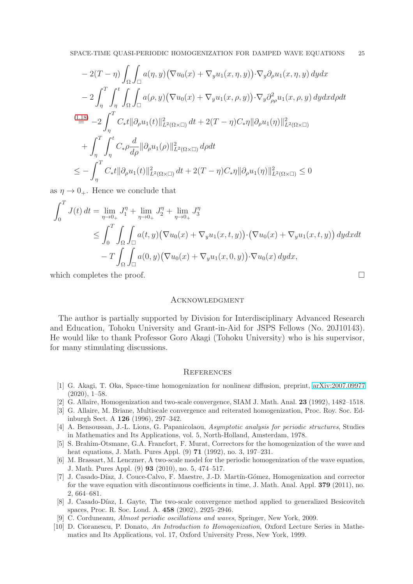$$
-2(T - \eta) \int_{\Omega} \int_{\square} a(\eta, y) (\nabla u_0(x) + \nabla_y u_1(x, \eta, y)) \cdot \nabla_y \partial_\rho u_1(x, \eta, y) dy dx
$$
  
\n
$$
-2 \int_{\eta}^T \int_{\eta}^t \int_{\Omega} \int_{\square} a(\rho, y) (\nabla u_0(x) + \nabla_y u_1(x, \rho, y)) \cdot \nabla_y \partial_{\rho \rho}^2 u_1(x, \rho, y) dy dx d\rho dt
$$
  
\n
$$
\stackrel{(1.18)}{=} -2 \int_{\eta}^T C_* t ||\partial_\rho u_1(t)||^2_{L^2(\Omega \times \square)} dt + 2(T - \eta) C_* \eta ||\partial_\rho u_1(\eta)||^2_{L^2(\Omega \times \square)}
$$
  
\n
$$
+ \int_{\eta}^T \int_{\eta}^t C_* \rho \frac{d}{d\rho} ||\partial_\rho u_1(\rho)||^2_{L^2(\Omega \times \square)} d\rho dt
$$
  
\n
$$
\leq - \int_{\eta}^T C_* t ||\partial_\rho u_1(t)||^2_{L^2(\Omega \times \square)} dt + 2(T - \eta) C_* \eta ||\partial_\rho u_1(\eta)||^2_{L^2(\Omega \times \square)} \leq 0
$$

as  $\eta \to 0_+$ . Hence we conclude that

$$
\int_0^T J(t) dt = \lim_{\eta \to 0_+} J_1^{\eta} + \lim_{\eta \to 0_+} J_2^{\eta} + \lim_{\eta \to 0_+} J_3^{\eta}
$$
  
\n
$$
\leq \int_0^T \int_{\Omega} \int_{\square} a(t, y) (\nabla u_0(x) + \nabla_y u_1(x, t, y)) \cdot (\nabla u_0(x) + \nabla_y u_1(x, t, y)) dy dx dt
$$
  
\n
$$
-T \int_{\Omega} \int_{\square} a(0, y) (\nabla u_0(x) + \nabla_y u_1(x, 0, y)) \cdot \nabla u_0(x) dy dx,
$$

which completes the proof.  $\Box$ 

### **ACKNOWLEDGMENT**

The author is partially supported by Division for Interdisciplinary Advanced Research and Education, Tohoku University and Grant-in-Aid for JSPS Fellows (No. 20J10143). He would like to thank Professor Goro Akagi (Tohoku University) who is his supervisor, for many stimulating discussions.

### **REFERENCES**

- <span id="page-24-3"></span>[1] G. Akagi, T. Oka, Space-time homogenization for nonlinear diffusion, preprint, [arXiv:2007.09977](http://arxiv.org/abs/2007.09977)  $(2020), 1–58.$
- <span id="page-24-2"></span><span id="page-24-1"></span>[2] G. Allaire, Homogenization and two-scale convergence, SIAM J. Math. Anal. 23 (1992), 1482–1518.
- [3] G. Allaire, M. Briane, Multiscale convergence and reiterated homogenization, Proc. Roy. Soc. Edinburgh Sect. A 126 (1996), 297–342.
- <span id="page-24-0"></span>[4] A. Bensoussan, J.-L. Lions, G. Papanicolaou, Asymptotic analysis for periodic structures, Studies in Mathematics and Its Applications, vol. 5, North-Holland, Amsterdam, 1978.
- <span id="page-24-4"></span>[5] S. Brahim-Otsmane, G.A. Francfort, F. Murat, Correctors for the homogenization of the wave and heat equations, J. Math. Pures Appl. (9) 71 (1992), no. 3, 197–231.
- <span id="page-24-5"></span>[6] M. Brassart, M. Lenczner, A two-scale model for the periodic homogenization of the wave equation, J. Math. Pures Appl. (9) 93 (2010), no. 5, 474–517.
- <span id="page-24-6"></span>[7] J. Casado-Díaz, J. Couce-Calvo, F. Maestre, J.-D. Martín-Gómez, Homogenization and corrector for the wave equation with discontinuous coefficients in time, J. Math. Anal. Appl. 379 (2011), no. 2, 664–681.
- <span id="page-24-8"></span>[8] J. Casado-Díaz, I. Gayte, The two-scale convergence method applied to generalized Besicovitch spaces, Proc. R. Soc. Lond. A. 458 (2002), 2925–2946.
- <span id="page-24-9"></span><span id="page-24-7"></span>[9] C. Corduneanu, Almost periodic oscillations and waves, Springer, New York, 2009.
- [10] D. Cioranescu, P. Donato, An Introduction to Homogenization, Oxford Lecture Series in Mathematics and Its Applications, vol. 17, Oxford University Press, New York, 1999.